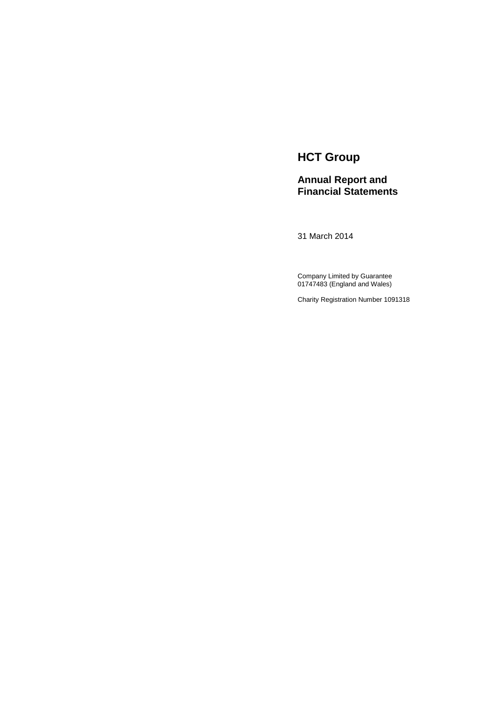# **HCT Group**

# **Annual Report and Financial Statements**

31 March 2014

Company Limited by Guarantee 01747483 (England and Wales)

Charity Registration Number 1091318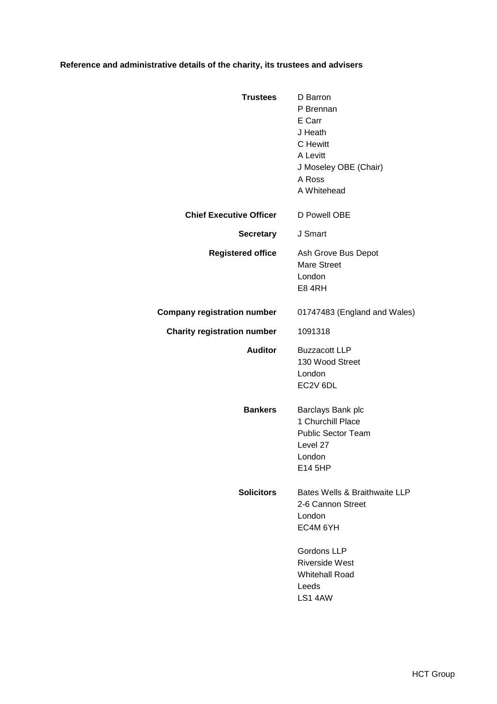# **Reference and administrative details of the charity, its trustees and advisers**

| <b>Trustees</b>                    | D Barron<br>P Brennan<br>E Carr<br>J Heath<br>C Hewitt<br>A Levitt<br>J Moseley OBE (Chair)<br>A Ross<br>A Whitehead                                          |
|------------------------------------|---------------------------------------------------------------------------------------------------------------------------------------------------------------|
| <b>Chief Executive Officer</b>     | D Powell OBE                                                                                                                                                  |
| Secretary                          | J Smart                                                                                                                                                       |
| <b>Registered office</b>           | Ash Grove Bus Depot<br><b>Mare Street</b><br>London<br>E84RH                                                                                                  |
| Company registration number        | 01747483 (England and Wales)                                                                                                                                  |
| <b>Charity registration number</b> | 1091318                                                                                                                                                       |
| <b>Auditor</b>                     | <b>Buzzacott LLP</b><br>130 Wood Street<br>London<br>EC2V 6DL                                                                                                 |
| <b>Bankers</b>                     | Barclays Bank plc<br>1 Churchill Place<br><b>Public Sector Team</b><br>Level 27<br>London<br>E14 5HP                                                          |
| <b>Solicitors</b>                  | Bates Wells & Braithwaite LLP<br>2-6 Cannon Street<br>London<br>EC4M 6YH<br>Gordons LLP<br><b>Riverside West</b><br><b>Whitehall Road</b><br>Leeds<br>LS1 4AW |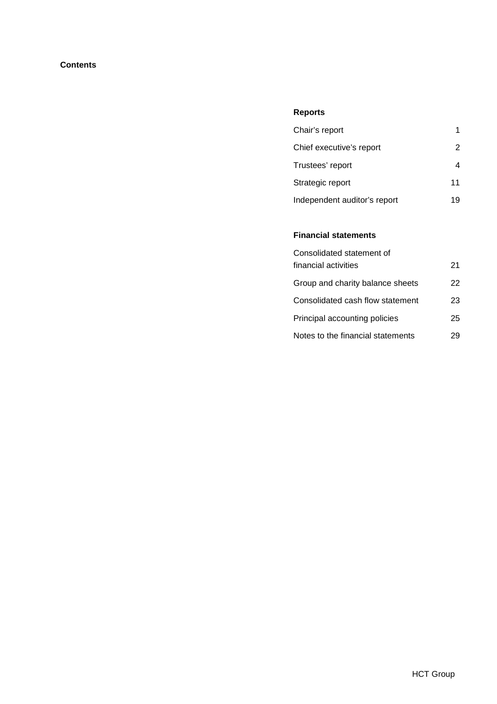# **Contents**

# **Reports**

| Chair's report               |    |
|------------------------------|----|
| Chief executive's report     | 2  |
| Trustees' report             |    |
| Strategic report             | 11 |
| Independent auditor's report | 19 |

# **Financial statements**

| Consolidated statement of         |    |
|-----------------------------------|----|
| financial activities              | 21 |
| Group and charity balance sheets  | 22 |
| Consolidated cash flow statement  | 23 |
| Principal accounting policies     | 25 |
| Notes to the financial statements | 29 |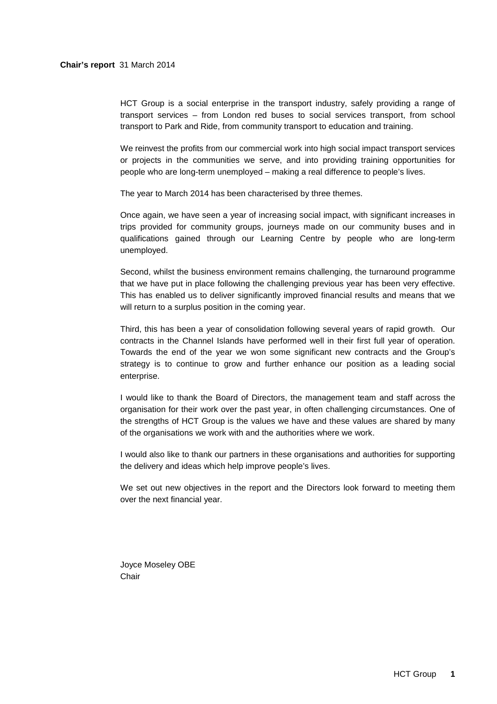HCT Group is a social enterprise in the transport industry, safely providing a range of transport services – from London red buses to social services transport, from school transport to Park and Ride, from community transport to education and training.

We reinvest the profits from our commercial work into high social impact transport services or projects in the communities we serve, and into providing training opportunities for people who are long-term unemployed – making a real difference to people's lives.

The year to March 2014 has been characterised by three themes.

Once again, we have seen a year of increasing social impact, with significant increases in trips provided for community groups, journeys made on our community buses and in qualifications gained through our Learning Centre by people who are long-term unemployed.

Second, whilst the business environment remains challenging, the turnaround programme that we have put in place following the challenging previous year has been very effective. This has enabled us to deliver significantly improved financial results and means that we will return to a surplus position in the coming year.

Third, this has been a year of consolidation following several years of rapid growth. Our contracts in the Channel Islands have performed well in their first full year of operation. Towards the end of the year we won some significant new contracts and the Group's strategy is to continue to grow and further enhance our position as a leading social enterprise.

I would like to thank the Board of Directors, the management team and staff across the organisation for their work over the past year, in often challenging circumstances. One of the strengths of HCT Group is the values we have and these values are shared by many of the organisations we work with and the authorities where we work.

I would also like to thank our partners in these organisations and authorities for supporting the delivery and ideas which help improve people's lives.

We set out new objectives in the report and the Directors look forward to meeting them over the next financial year.

Joyce Moseley OBE Chair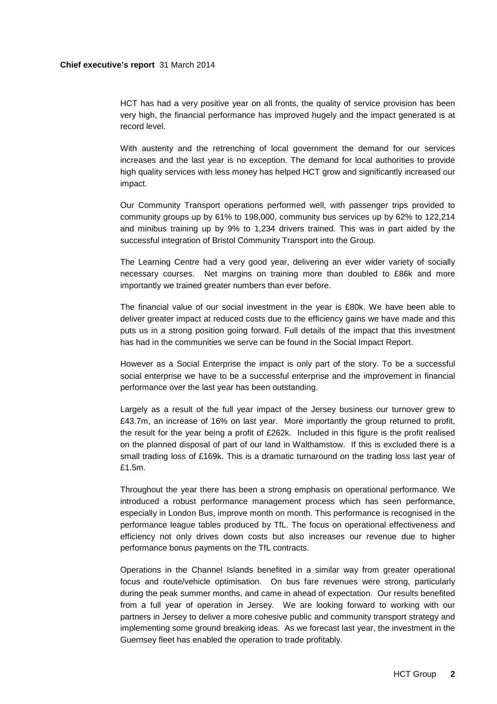## **Chief executive's report** 31 March 2014

HCT has had a very positive year on all fronts, the quality of service provision has been very high, the financial performance has improved hugely and the impact generated is at record level.

With austerity and the retrenching of local government the demand for our services increases and the last year is no exception. The demand for local authorities to provide high quality services with less money has helped HCT grow and significantly increased our impact.

Our Community Transport operations performed well, with passenger trips provided to community groups up by 61% to 198,000, community bus services up by 62% to 122,214 and minibus training up by 9% to 1,234 drivers trained. This was in part aided by the successful integration of Bristol Community Transport into the Group.

The Learning Centre had a very good year, delivering an ever wider variety of socially necessary courses. Net margins on training more than doubled to £86k and more importantly we trained greater numbers than ever before.

The financial value of our social investment in the year is £80k. We have been able to deliver greater impact at reduced costs due to the efficiency gains we have made and this puts us in a strong position going forward. Full details of the impact that this investment has had in the communities we serve can be found in the Social Impact Report.

However as a Social Enterprise the impact is only part of the story. To be a successful social enterprise we have to be a successful enterprise and the improvement in financial performance over the last year has been outstanding.

Largely as a result of the full year impact of the Jersey business our turnover grew to £43.7m, an increase of 16% on last year. More importantly the group returned to profit, the result for the year being a profit of £262k. Included in this figure is the profit realised on the planned disposal of part of our land in Walthamstow. If this is excluded there is a small trading loss of £169k. This is a dramatic turnaround on the trading loss last year of £1.5m.

Throughout the year there has been a strong emphasis on operational performance. We introduced a robust performance management process which has seen performance, especially in London Bus, improve month on month. This performance is recognised in the performance league tables produced by TfL. The focus on operational effectiveness and efficiency not only drives down costs but also increases our revenue due to higher performance bonus payments on the TfL contracts.

Operations in the Channel Islands benefited in a similar way from greater operational focus and route/vehicle optimisation. On bus fare revenues were strong, particularly during the peak summer months, and came in ahead of expectation. Our results benefited from a full year of operation in Jersey. We are looking forward to working with our partners in Jersey to deliver a more cohesive public and community transport strategy and implementing some ground breaking ideas. As we forecast last year, the investment in the Guernsey fleet has enabled the operation to trade profitably.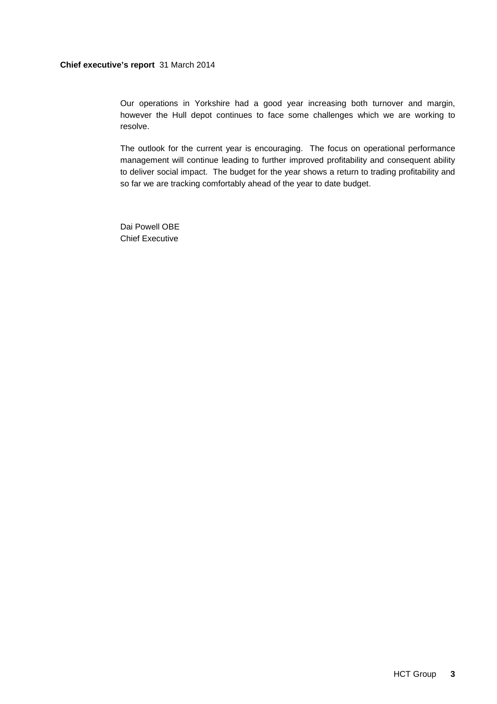# **Chief executive's report** 31 March 2014

Our operations in Yorkshire had a good year increasing both turnover and margin, however the Hull depot continues to face some challenges which we are working to resolve.

The outlook for the current year is encouraging. The focus on operational performance management will continue leading to further improved profitability and consequent ability to deliver social impact. The budget for the year shows a return to trading profitability and so far we are tracking comfortably ahead of the year to date budget.

Dai Powell OBE Chief Executive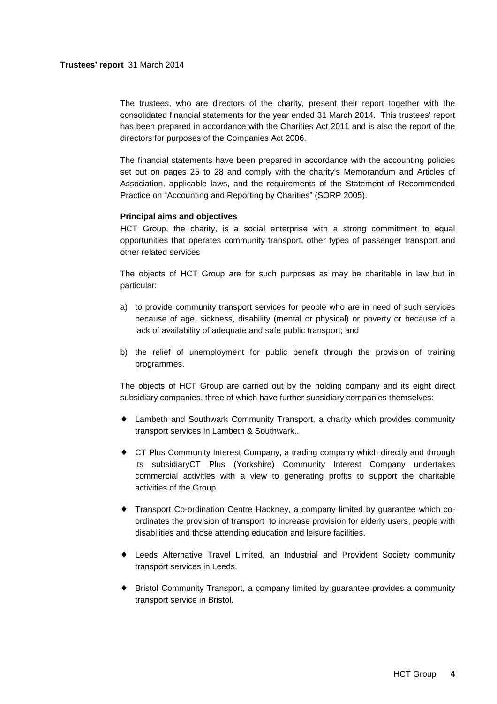The trustees, who are directors of the charity, present their report together with the consolidated financial statements for the year ended 31 March 2014. This trustees' report has been prepared in accordance with the Charities Act 2011 and is also the report of the directors for purposes of the Companies Act 2006.

The financial statements have been prepared in accordance with the accounting policies set out on pages 25 to 28 and comply with the charity's Memorandum and Articles of Association, applicable laws, and the requirements of the Statement of Recommended Practice on "Accounting and Reporting by Charities" (SORP 2005).

# **Principal aims and objectives**

HCT Group, the charity, is a social enterprise with a strong commitment to equal opportunities that operates community transport, other types of passenger transport and other related services

The objects of HCT Group are for such purposes as may be charitable in law but in particular:

- a) to provide community transport services for people who are in need of such services because of age, sickness, disability (mental or physical) or poverty or because of a lack of availability of adequate and safe public transport; and
- b) the relief of unemployment for public benefit through the provision of training programmes.

The objects of HCT Group are carried out by the holding company and its eight direct subsidiary companies, three of which have further subsidiary companies themselves:

- ♦ Lambeth and Southwark Community Transport, a charity which provides community transport services in Lambeth & Southwark..
- ♦ CT Plus Community Interest Company, a trading company which directly and through its subsidiaryCT Plus (Yorkshire) Community Interest Company undertakes commercial activities with a view to generating profits to support the charitable activities of the Group.
- ♦ Transport Co-ordination Centre Hackney, a company limited by guarantee which coordinates the provision of transport to increase provision for elderly users, people with disabilities and those attending education and leisure facilities.
- ♦ Leeds Alternative Travel Limited, an Industrial and Provident Society community transport services in Leeds.
- ♦ Bristol Community Transport, a company limited by guarantee provides a community transport service in Bristol.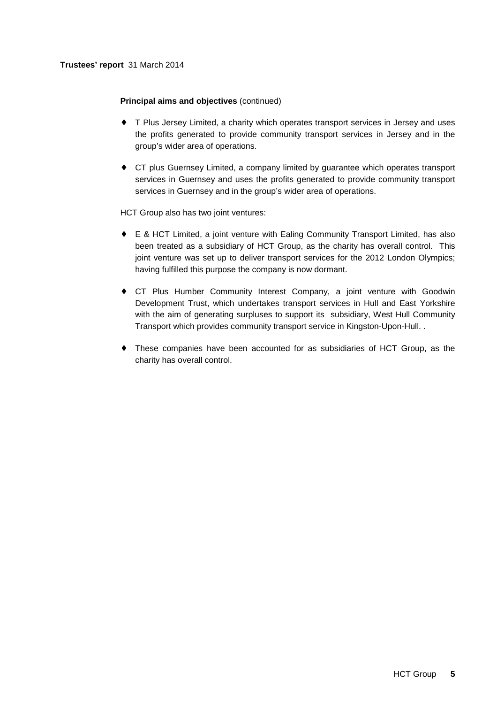# **Trustees' report** 31 March 2014

# **Principal aims and objectives** (continued)

- ♦ T Plus Jersey Limited, a charity which operates transport services in Jersey and uses the profits generated to provide community transport services in Jersey and in the group's wider area of operations.
- ♦ CT plus Guernsey Limited, a company limited by guarantee which operates transport services in Guernsey and uses the profits generated to provide community transport services in Guernsey and in the group's wider area of operations.

HCT Group also has two joint ventures:

- ♦ E & HCT Limited, a joint venture with Ealing Community Transport Limited, has also been treated as a subsidiary of HCT Group, as the charity has overall control. This joint venture was set up to deliver transport services for the 2012 London Olympics; having fulfilled this purpose the company is now dormant.
- ♦ CT Plus Humber Community Interest Company, a joint venture with Goodwin Development Trust, which undertakes transport services in Hull and East Yorkshire with the aim of generating surpluses to support its subsidiary, West Hull Community Transport which provides community transport service in Kingston-Upon-Hull. .
- ♦ These companies have been accounted for as subsidiaries of HCT Group, as the charity has overall control.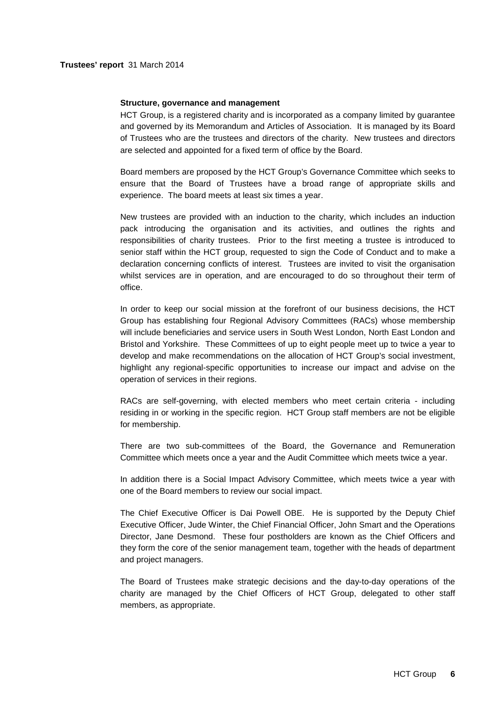## **Structure, governance and management**

HCT Group, is a registered charity and is incorporated as a company limited by guarantee and governed by its Memorandum and Articles of Association. It is managed by its Board of Trustees who are the trustees and directors of the charity. New trustees and directors are selected and appointed for a fixed term of office by the Board.

Board members are proposed by the HCT Group's Governance Committee which seeks to ensure that the Board of Trustees have a broad range of appropriate skills and experience. The board meets at least six times a year.

New trustees are provided with an induction to the charity, which includes an induction pack introducing the organisation and its activities, and outlines the rights and responsibilities of charity trustees. Prior to the first meeting a trustee is introduced to senior staff within the HCT group, requested to sign the Code of Conduct and to make a declaration concerning conflicts of interest. Trustees are invited to visit the organisation whilst services are in operation, and are encouraged to do so throughout their term of office.

In order to keep our social mission at the forefront of our business decisions, the HCT Group has establishing four Regional Advisory Committees (RACs) whose membership will include beneficiaries and service users in South West London, North East London and Bristol and Yorkshire. These Committees of up to eight people meet up to twice a year to develop and make recommendations on the allocation of HCT Group's social investment, highlight any regional-specific opportunities to increase our impact and advise on the operation of services in their regions.

RACs are self-governing, with elected members who meet certain criteria - including residing in or working in the specific region. HCT Group staff members are not be eligible for membership.

There are two sub-committees of the Board, the Governance and Remuneration Committee which meets once a year and the Audit Committee which meets twice a year.

In addition there is a Social Impact Advisory Committee, which meets twice a year with one of the Board members to review our social impact.

The Chief Executive Officer is Dai Powell OBE. He is supported by the Deputy Chief Executive Officer, Jude Winter, the Chief Financial Officer, John Smart and the Operations Director, Jane Desmond. These four postholders are known as the Chief Officers and they form the core of the senior management team, together with the heads of department and project managers.

The Board of Trustees make strategic decisions and the day-to-day operations of the charity are managed by the Chief Officers of HCT Group, delegated to other staff members, as appropriate.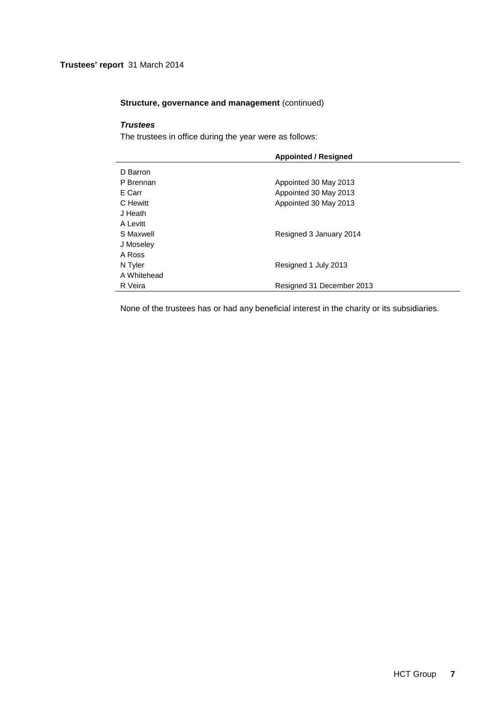# **Trustees' report** 31 March 2014

# **Structure, governance and management (continued)**

# **Trustees**

The trustees in office during the year were as follows:

|             | <b>Appointed / Resigned</b> |
|-------------|-----------------------------|
| D Barron    |                             |
| P Brennan   | Appointed 30 May 2013       |
| E Carr      | Appointed 30 May 2013       |
| C Hewitt    | Appointed 30 May 2013       |
| J Heath     |                             |
| A Levitt    |                             |
| S Maxwell   | Resigned 3 January 2014     |
| J Moseley   |                             |
| A Ross      |                             |
| N Tyler     | Resigned 1 July 2013        |
| A Whitehead |                             |
| R Veira     | Resigned 31 December 2013   |

None of the trustees has or had any beneficial interest in the charity or its subsidiaries.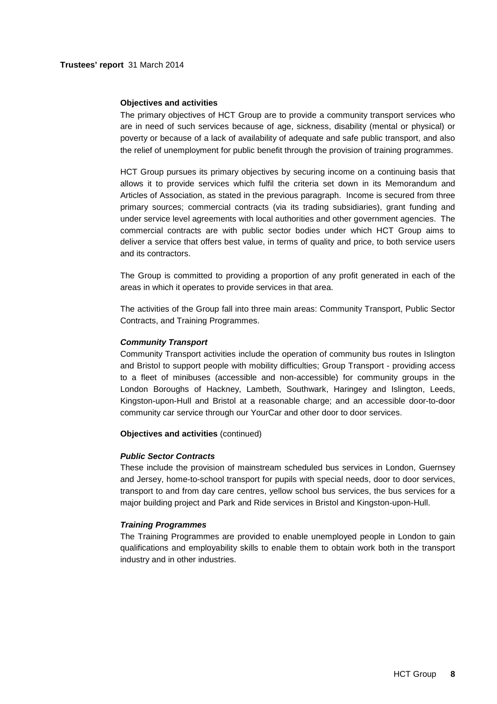# **Objectives and activities**

The primary objectives of HCT Group are to provide a community transport services who are in need of such services because of age, sickness, disability (mental or physical) or poverty or because of a lack of availability of adequate and safe public transport, and also the relief of unemployment for public benefit through the provision of training programmes.

HCT Group pursues its primary objectives by securing income on a continuing basis that allows it to provide services which fulfil the criteria set down in its Memorandum and Articles of Association, as stated in the previous paragraph. Income is secured from three primary sources; commercial contracts (via its trading subsidiaries), grant funding and under service level agreements with local authorities and other government agencies. The commercial contracts are with public sector bodies under which HCT Group aims to deliver a service that offers best value, in terms of quality and price, to both service users and its contractors.

The Group is committed to providing a proportion of any profit generated in each of the areas in which it operates to provide services in that area.

The activities of the Group fall into three main areas: Community Transport, Public Sector Contracts, and Training Programmes.

## **Community Transport**

Community Transport activities include the operation of community bus routes in Islington and Bristol to support people with mobility difficulties; Group Transport - providing access to a fleet of minibuses (accessible and non-accessible) for community groups in the London Boroughs of Hackney, Lambeth, Southwark, Haringey and Islington, Leeds, Kingston-upon-Hull and Bristol at a reasonable charge; and an accessible door-to-door community car service through our YourCar and other door to door services.

## **Objectives and activities** (continued)

# **Public Sector Contracts**

These include the provision of mainstream scheduled bus services in London, Guernsey and Jersey, home-to-school transport for pupils with special needs, door to door services, transport to and from day care centres, yellow school bus services, the bus services for a major building project and Park and Ride services in Bristol and Kingston-upon-Hull.

# **Training Programmes**

The Training Programmes are provided to enable unemployed people in London to gain qualifications and employability skills to enable them to obtain work both in the transport industry and in other industries.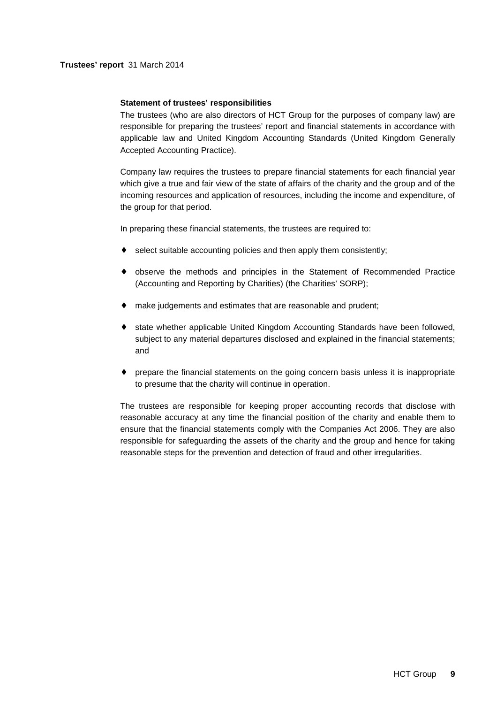# **Trustees' report** 31 March 2014

# **Statement of trustees' responsibilities**

The trustees (who are also directors of HCT Group for the purposes of company law) are responsible for preparing the trustees' report and financial statements in accordance with applicable law and United Kingdom Accounting Standards (United Kingdom Generally Accepted Accounting Practice).

Company law requires the trustees to prepare financial statements for each financial year which give a true and fair view of the state of affairs of the charity and the group and of the incoming resources and application of resources, including the income and expenditure, of the group for that period.

In preparing these financial statements, the trustees are required to:

- select suitable accounting policies and then apply them consistently;
- ♦ observe the methods and principles in the Statement of Recommended Practice (Accounting and Reporting by Charities) (the Charities' SORP);
- ♦ make judgements and estimates that are reasonable and prudent;
- ♦ state whether applicable United Kingdom Accounting Standards have been followed, subject to any material departures disclosed and explained in the financial statements; and
- prepare the financial statements on the going concern basis unless it is inappropriate to presume that the charity will continue in operation.

The trustees are responsible for keeping proper accounting records that disclose with reasonable accuracy at any time the financial position of the charity and enable them to ensure that the financial statements comply with the Companies Act 2006. They are also responsible for safeguarding the assets of the charity and the group and hence for taking reasonable steps for the prevention and detection of fraud and other irregularities.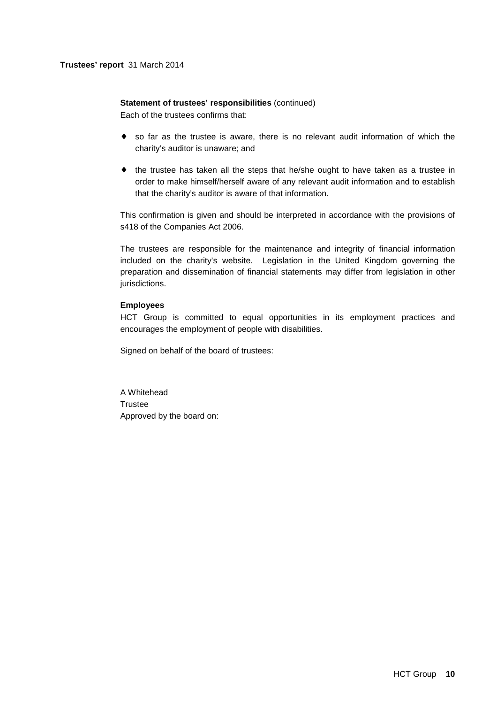# **Statement of trustees' responsibilities** (continued)

Each of the trustees confirms that:

- ♦ so far as the trustee is aware, there is no relevant audit information of which the charity's auditor is unaware; and
- ♦ the trustee has taken all the steps that he/she ought to have taken as a trustee in order to make himself/herself aware of any relevant audit information and to establish that the charity's auditor is aware of that information.

This confirmation is given and should be interpreted in accordance with the provisions of s418 of the Companies Act 2006.

The trustees are responsible for the maintenance and integrity of financial information included on the charity's website. Legislation in the United Kingdom governing the preparation and dissemination of financial statements may differ from legislation in other jurisdictions.

# **Employees**

HCT Group is committed to equal opportunities in its employment practices and encourages the employment of people with disabilities.

Signed on behalf of the board of trustees:

A Whitehead **Trustee** Approved by the board on: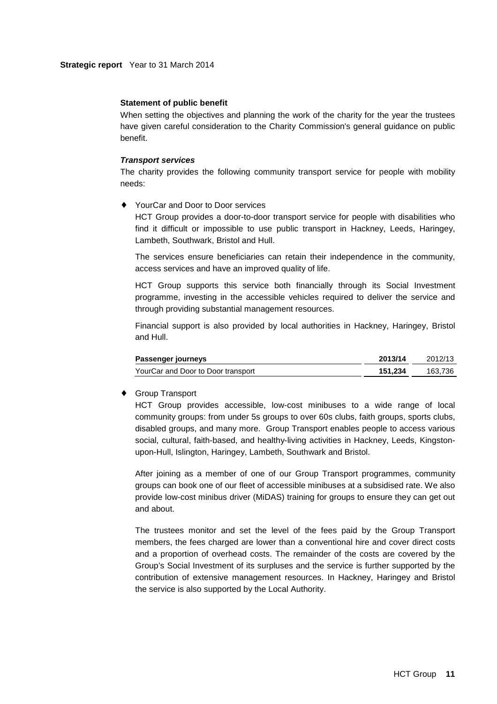### **Statement of public benefit**

When setting the objectives and planning the work of the charity for the year the trustees have given careful consideration to the Charity Commission's general guidance on public benefit.

### **Transport services**

The charity provides the following community transport service for people with mobility needs:

# YourCar and Door to Door services

HCT Group provides a door-to-door transport service for people with disabilities who find it difficult or impossible to use public transport in Hackney, Leeds, Haringey, Lambeth, Southwark, Bristol and Hull.

The services ensure beneficiaries can retain their independence in the community, access services and have an improved quality of life.

HCT Group supports this service both financially through its Social Investment programme, investing in the accessible vehicles required to deliver the service and through providing substantial management resources.

Financial support is also provided by local authorities in Hackney, Haringey, Bristol and Hull.

| Passenger journeys                 | 2013/14 | 2012/13 |
|------------------------------------|---------|---------|
| YourCar and Door to Door transport | 151.234 | 163.736 |

## **Group Transport**

HCT Group provides accessible, low-cost minibuses to a wide range of local community groups: from under 5s groups to over 60s clubs, faith groups, sports clubs, disabled groups, and many more. Group Transport enables people to access various social, cultural, faith-based, and healthy-living activities in Hackney, Leeds, Kingstonupon-Hull, Islington, Haringey, Lambeth, Southwark and Bristol.

After joining as a member of one of our Group Transport programmes, community groups can book one of our fleet of accessible minibuses at a subsidised rate. We also provide low-cost minibus driver (MiDAS) training for groups to ensure they can get out and about.

The trustees monitor and set the level of the fees paid by the Group Transport members, the fees charged are lower than a conventional hire and cover direct costs and a proportion of overhead costs. The remainder of the costs are covered by the Group's Social Investment of its surpluses and the service is further supported by the contribution of extensive management resources. In Hackney, Haringey and Bristol the service is also supported by the Local Authority.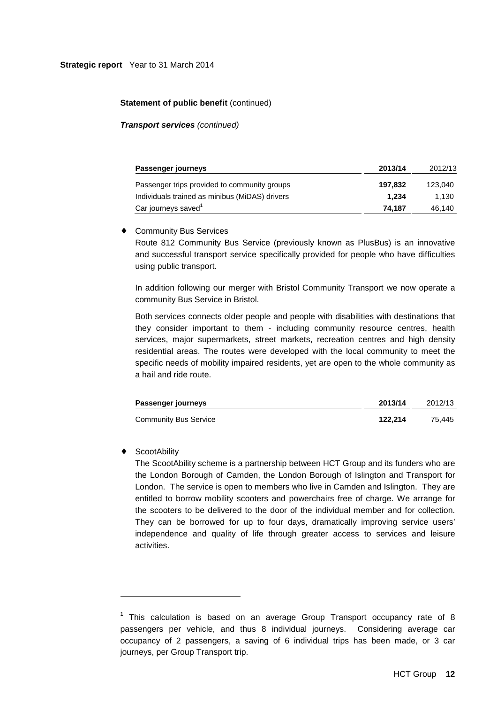# **Statement of public benefit (continued)**

**Transport services** (continued)

| Passenger journeys                             | 2013/14 | 2012/13 |
|------------------------------------------------|---------|---------|
| Passenger trips provided to community groups   | 197.832 | 123.040 |
| Individuals trained as minibus (MiDAS) drivers | 1.234   | 1.130   |
| Car journeys saved <sup>1</sup>                | 74.187  | 46,140  |

# ♦ Community Bus Services

Route 812 Community Bus Service (previously known as PlusBus) is an innovative and successful transport service specifically provided for people who have difficulties using public transport.

In addition following our merger with Bristol Community Transport we now operate a community Bus Service in Bristol.

Both services connects older people and people with disabilities with destinations that they consider important to them - including community resource centres, health services, major supermarkets, street markets, recreation centres and high density residential areas. The routes were developed with the local community to meet the specific needs of mobility impaired residents, yet are open to the whole community as a hail and ride route.

| Passenger journeys           | 2013/14 | 2012/13 |
|------------------------------|---------|---------|
| <b>Community Bus Service</b> | 122.214 | 75.445  |

# **ScootAbility**

l

The ScootAbility scheme is a partnership between HCT Group and its funders who are the London Borough of Camden, the London Borough of Islington and Transport for London. The service is open to members who live in Camden and Islington. They are entitled to borrow mobility scooters and powerchairs free of charge. We arrange for the scooters to be delivered to the door of the individual member and for collection. They can be borrowed for up to four days, dramatically improving service users' independence and quality of life through greater access to services and leisure activities.

 $1$  This calculation is based on an average Group Transport occupancy rate of 8 passengers per vehicle, and thus 8 individual journeys. Considering average car occupancy of 2 passengers, a saving of 6 individual trips has been made, or 3 car journeys, per Group Transport trip.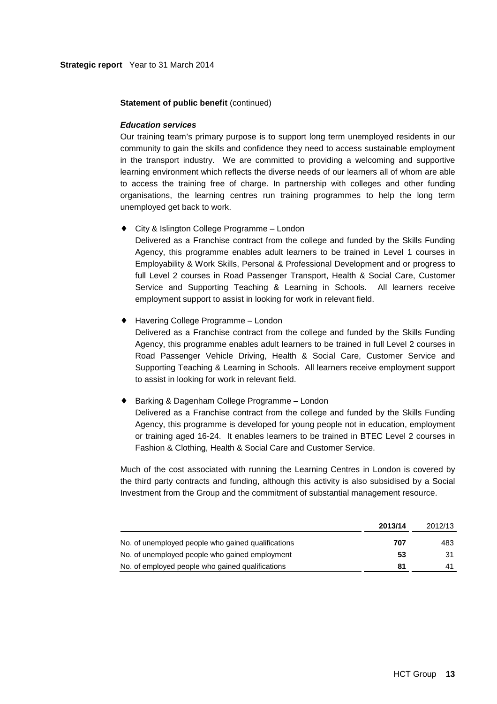## **Statement of public benefit (continued)**

## **Education services**

Our training team's primary purpose is to support long term unemployed residents in our community to gain the skills and confidence they need to access sustainable employment in the transport industry. We are committed to providing a welcoming and supportive learning environment which reflects the diverse needs of our learners all of whom are able to access the training free of charge. In partnership with colleges and other funding organisations, the learning centres run training programmes to help the long term unemployed get back to work.

♦ City & Islington College Programme – London

Delivered as a Franchise contract from the college and funded by the Skills Funding Agency, this programme enables adult learners to be trained in Level 1 courses in Employability & Work Skills, Personal & Professional Development and or progress to full Level 2 courses in Road Passenger Transport, Health & Social Care, Customer Service and Supporting Teaching & Learning in Schools. All learners receive employment support to assist in looking for work in relevant field.

♦ Havering College Programme – London

Delivered as a Franchise contract from the college and funded by the Skills Funding Agency, this programme enables adult learners to be trained in full Level 2 courses in Road Passenger Vehicle Driving, Health & Social Care, Customer Service and Supporting Teaching & Learning in Schools. All learners receive employment support to assist in looking for work in relevant field.

♦ Barking & Dagenham College Programme – London

Delivered as a Franchise contract from the college and funded by the Skills Funding Agency, this programme is developed for young people not in education, employment or training aged 16-24. It enables learners to be trained in BTEC Level 2 courses in Fashion & Clothing, Health & Social Care and Customer Service.

Much of the cost associated with running the Learning Centres in London is covered by the third party contracts and funding, although this activity is also subsidised by a Social Investment from the Group and the commitment of substantial management resource.

|                                                    | 2013/14 | 2012/13 |
|----------------------------------------------------|---------|---------|
| No. of unemployed people who gained qualifications | 707     | 483     |
| No. of unemployed people who gained employment     | 53      | 31      |
| No. of employed people who gained qualifications   | 81      | 41      |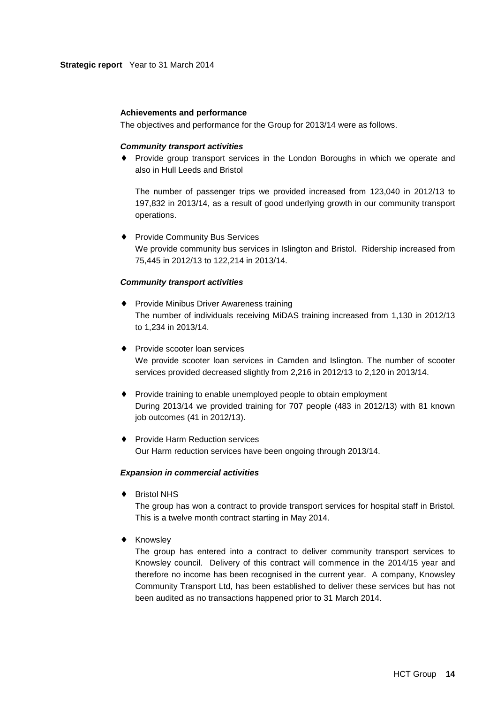## **Achievements and performance**

The objectives and performance for the Group for 2013/14 were as follows.

#### **Community transport activities**

♦ Provide group transport services in the London Boroughs in which we operate and also in Hull Leeds and Bristol

The number of passenger trips we provided increased from 123,040 in 2012/13 to 197,832 in 2013/14, as a result of good underlying growth in our community transport operations.

♦ Provide Community Bus Services We provide community bus services in Islington and Bristol. Ridership increased from 75,445 in 2012/13 to 122,214 in 2013/14.

## **Community transport activities**

- ♦ Provide Minibus Driver Awareness training The number of individuals receiving MiDAS training increased from 1,130 in 2012/13 to 1,234 in 2013/14.
- ♦ Provide scooter loan services We provide scooter loan services in Camden and Islington. The number of scooter services provided decreased slightly from 2,216 in 2012/13 to 2,120 in 2013/14.
- ♦ Provide training to enable unemployed people to obtain employment During 2013/14 we provided training for 707 people (483 in 2012/13) with 81 known job outcomes (41 in 2012/13).
- ♦ Provide Harm Reduction services Our Harm reduction services have been ongoing through 2013/14.

#### **Expansion in commercial activities**

♦ Bristol NHS

The group has won a contract to provide transport services for hospital staff in Bristol. This is a twelve month contract starting in May 2014.

♦ Knowsley

The group has entered into a contract to deliver community transport services to Knowsley council. Delivery of this contract will commence in the 2014/15 year and therefore no income has been recognised in the current year. A company, Knowsley Community Transport Ltd, has been established to deliver these services but has not been audited as no transactions happened prior to 31 March 2014.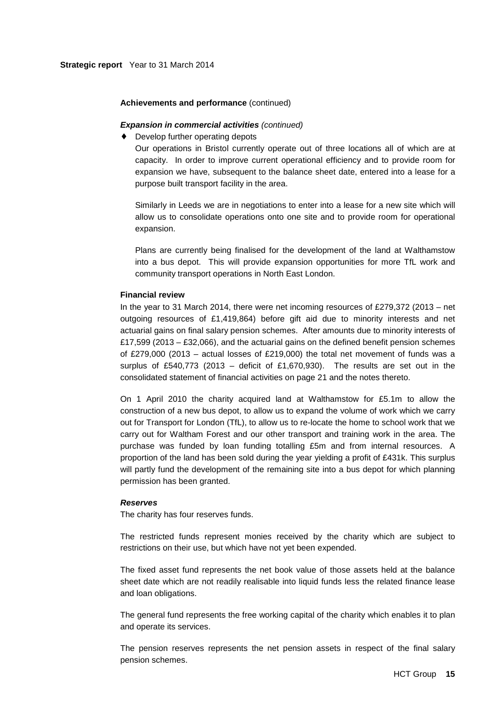### **Achievements and performance** (continued)

## **Expansion in commercial activities (continued)**

♦ Develop further operating depots

Our operations in Bristol currently operate out of three locations all of which are at capacity. In order to improve current operational efficiency and to provide room for expansion we have, subsequent to the balance sheet date, entered into a lease for a purpose built transport facility in the area.

Similarly in Leeds we are in negotiations to enter into a lease for a new site which will allow us to consolidate operations onto one site and to provide room for operational expansion.

Plans are currently being finalised for the development of the land at Walthamstow into a bus depot. This will provide expansion opportunities for more TfL work and community transport operations in North East London.

#### **Financial review**

In the year to 31 March 2014, there were net incoming resources of £279,372 (2013 – net outgoing resources of £1,419,864) before gift aid due to minority interests and net actuarial gains on final salary pension schemes. After amounts due to minority interests of £17,599 (2013 – £32,066), and the actuarial gains on the defined benefit pension schemes of £279,000 (2013 – actual losses of £219,000) the total net movement of funds was a surplus of £540,773 (2013 – deficit of £1,670,930). The results are set out in the consolidated statement of financial activities on page 21 and the notes thereto.

On 1 April 2010 the charity acquired land at Walthamstow for £5.1m to allow the construction of a new bus depot, to allow us to expand the volume of work which we carry out for Transport for London (TfL), to allow us to re-locate the home to school work that we carry out for Waltham Forest and our other transport and training work in the area. The purchase was funded by loan funding totalling £5m and from internal resources. A proportion of the land has been sold during the year yielding a profit of £431k. This surplus will partly fund the development of the remaining site into a bus depot for which planning permission has been granted.

## **Reserves**

The charity has four reserves funds.

The restricted funds represent monies received by the charity which are subject to restrictions on their use, but which have not yet been expended.

The fixed asset fund represents the net book value of those assets held at the balance sheet date which are not readily realisable into liquid funds less the related finance lease and loan obligations.

The general fund represents the free working capital of the charity which enables it to plan and operate its services.

The pension reserves represents the net pension assets in respect of the final salary pension schemes.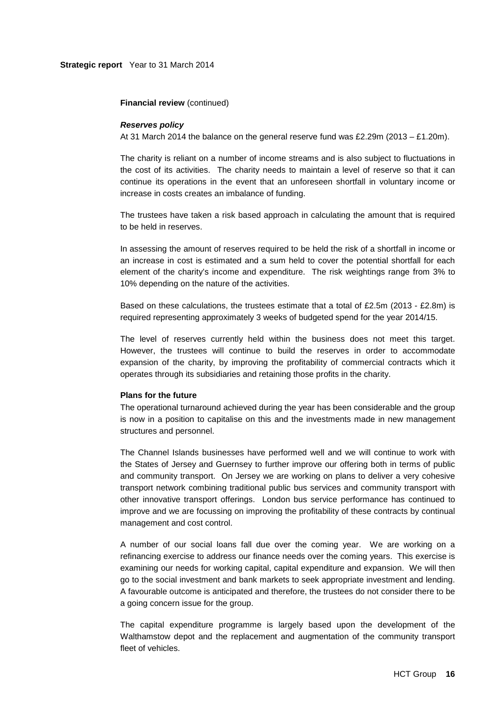**Financial review** (continued)

#### **Reserves policy**

At 31 March 2014 the balance on the general reserve fund was £2.29m (2013 – £1.20m).

The charity is reliant on a number of income streams and is also subject to fluctuations in the cost of its activities. The charity needs to maintain a level of reserve so that it can continue its operations in the event that an unforeseen shortfall in voluntary income or increase in costs creates an imbalance of funding.

The trustees have taken a risk based approach in calculating the amount that is required to be held in reserves.

In assessing the amount of reserves required to be held the risk of a shortfall in income or an increase in cost is estimated and a sum held to cover the potential shortfall for each element of the charity's income and expenditure. The risk weightings range from 3% to 10% depending on the nature of the activities.

Based on these calculations, the trustees estimate that a total of £2.5m (2013 - £2.8m) is required representing approximately 3 weeks of budgeted spend for the year 2014/15.

The level of reserves currently held within the business does not meet this target. However, the trustees will continue to build the reserves in order to accommodate expansion of the charity, by improving the profitability of commercial contracts which it operates through its subsidiaries and retaining those profits in the charity.

# **Plans for the future**

The operational turnaround achieved during the year has been considerable and the group is now in a position to capitalise on this and the investments made in new management structures and personnel.

The Channel Islands businesses have performed well and we will continue to work with the States of Jersey and Guernsey to further improve our offering both in terms of public and community transport. On Jersey we are working on plans to deliver a very cohesive transport network combining traditional public bus services and community transport with other innovative transport offerings. London bus service performance has continued to improve and we are focussing on improving the profitability of these contracts by continual management and cost control.

A number of our social loans fall due over the coming year. We are working on a refinancing exercise to address our finance needs over the coming years. This exercise is examining our needs for working capital, capital expenditure and expansion. We will then go to the social investment and bank markets to seek appropriate investment and lending. A favourable outcome is anticipated and therefore, the trustees do not consider there to be a going concern issue for the group.

The capital expenditure programme is largely based upon the development of the Walthamstow depot and the replacement and augmentation of the community transport fleet of vehicles.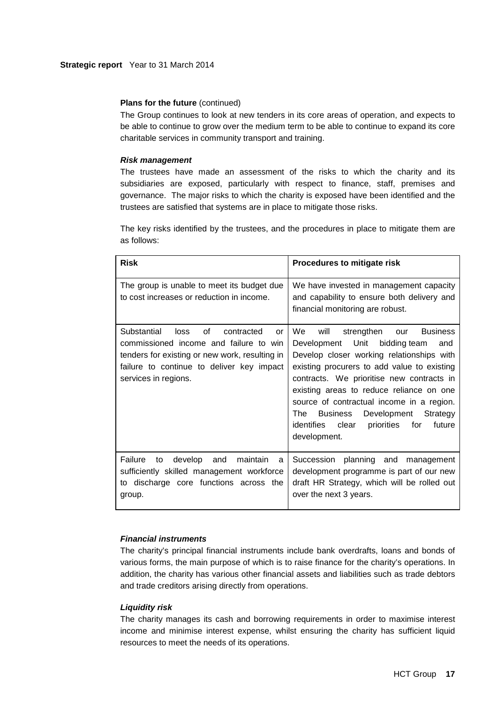# **Plans for the future** (continued)

The Group continues to look at new tenders in its core areas of operation, and expects to be able to continue to grow over the medium term to be able to continue to expand its core charitable services in community transport and training.

# **Risk management**

The trustees have made an assessment of the risks to which the charity and its subsidiaries are exposed, particularly with respect to finance, staff, premises and governance. The major risks to which the charity is exposed have been identified and the trustees are satisfied that systems are in place to mitigate those risks.

The key risks identified by the trustees, and the procedures in place to mitigate them are as follows:

| <b>Risk</b>                                                                                                                                                                                                    | Procedures to mitigate risk                                                                                                                                                                                                                                                                                                                                                                                                          |
|----------------------------------------------------------------------------------------------------------------------------------------------------------------------------------------------------------------|--------------------------------------------------------------------------------------------------------------------------------------------------------------------------------------------------------------------------------------------------------------------------------------------------------------------------------------------------------------------------------------------------------------------------------------|
| The group is unable to meet its budget due<br>to cost increases or reduction in income.                                                                                                                        | We have invested in management capacity<br>and capability to ensure both delivery and<br>financial monitoring are robust.                                                                                                                                                                                                                                                                                                            |
| οf<br>Substantial<br>loss<br>contracted<br>or<br>commissioned income and failure to win<br>tenders for existing or new work, resulting in<br>failure to continue to deliver key impact<br>services in regions. | We.<br>strengthen<br>Business<br>will<br>our<br>Development Unit<br>bidding team<br>and<br>Develop closer working relationships with<br>existing procurers to add value to existing<br>contracts. We prioritise new contracts in<br>existing areas to reduce reliance on one<br>source of contractual income in a region.<br>The<br>Business<br>Development Strategy<br>identifies clear<br>priorities for<br>future<br>development. |
| Failure<br>develop and<br>maintain<br>to<br>a<br>sufficiently skilled management workforce<br>to discharge core functions across the<br>group.                                                                 | Succession planning and management<br>development programme is part of our new<br>draft HR Strategy, which will be rolled out<br>over the next 3 years.                                                                                                                                                                                                                                                                              |

# **Financial instruments**

The charity's principal financial instruments include bank overdrafts, loans and bonds of various forms, the main purpose of which is to raise finance for the charity's operations. In addition, the charity has various other financial assets and liabilities such as trade debtors and trade creditors arising directly from operations.

# **Liquidity risk**

The charity manages its cash and borrowing requirements in order to maximise interest income and minimise interest expense, whilst ensuring the charity has sufficient liquid resources to meet the needs of its operations.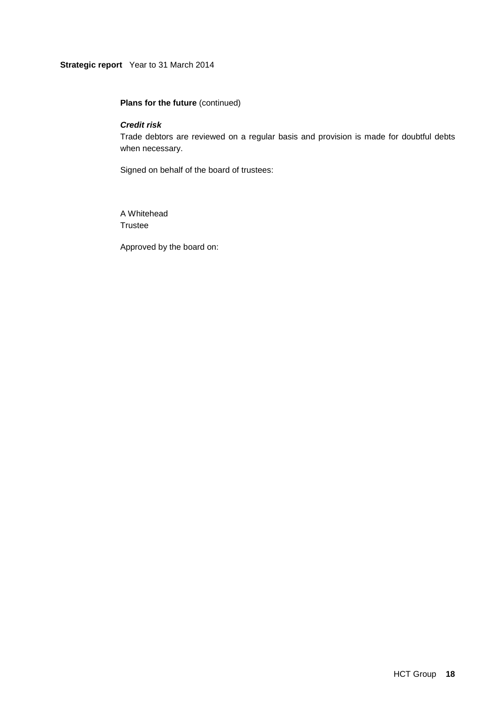# **Strategic report** Year to 31 March 2014

# **Plans for the future** (continued)

# **Credit risk**

Trade debtors are reviewed on a regular basis and provision is made for doubtful debts when necessary.

Signed on behalf of the board of trustees:

A Whitehead Trustee

Approved by the board on: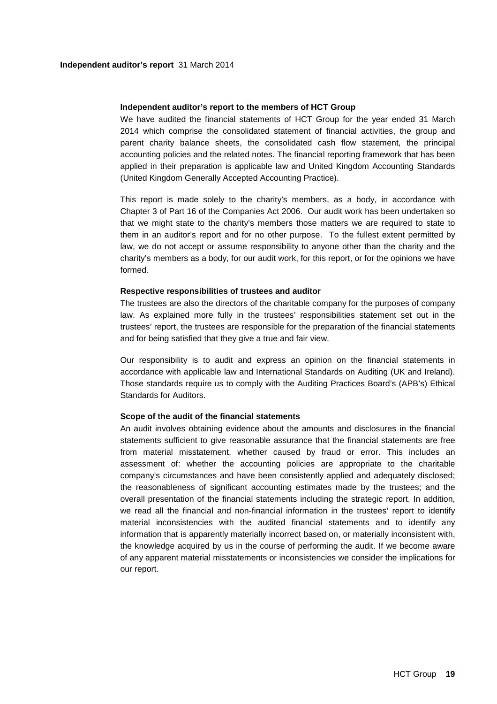### **Independent auditor's report to the members of HCT Group**

We have audited the financial statements of HCT Group for the year ended 31 March 2014 which comprise the consolidated statement of financial activities, the group and parent charity balance sheets, the consolidated cash flow statement, the principal accounting policies and the related notes. The financial reporting framework that has been applied in their preparation is applicable law and United Kingdom Accounting Standards (United Kingdom Generally Accepted Accounting Practice).

This report is made solely to the charity's members, as a body, in accordance with Chapter 3 of Part 16 of the Companies Act 2006. Our audit work has been undertaken so that we might state to the charity's members those matters we are required to state to them in an auditor's report and for no other purpose. To the fullest extent permitted by law, we do not accept or assume responsibility to anyone other than the charity and the charity's members as a body, for our audit work, for this report, or for the opinions we have formed.

## **Respective responsibilities of trustees and auditor**

The trustees are also the directors of the charitable company for the purposes of company law. As explained more fully in the trustees' responsibilities statement set out in the trustees' report, the trustees are responsible for the preparation of the financial statements and for being satisfied that they give a true and fair view.

Our responsibility is to audit and express an opinion on the financial statements in accordance with applicable law and International Standards on Auditing (UK and Ireland). Those standards require us to comply with the Auditing Practices Board's (APB's) Ethical Standards for Auditors.

## **Scope of the audit of the financial statements**

An audit involves obtaining evidence about the amounts and disclosures in the financial statements sufficient to give reasonable assurance that the financial statements are free from material misstatement, whether caused by fraud or error. This includes an assessment of: whether the accounting policies are appropriate to the charitable company's circumstances and have been consistently applied and adequately disclosed; the reasonableness of significant accounting estimates made by the trustees; and the overall presentation of the financial statements including the strategic report. In addition, we read all the financial and non-financial information in the trustees' report to identify material inconsistencies with the audited financial statements and to identify any information that is apparently materially incorrect based on, or materially inconsistent with, the knowledge acquired by us in the course of performing the audit. If we become aware of any apparent material misstatements or inconsistencies we consider the implications for our report.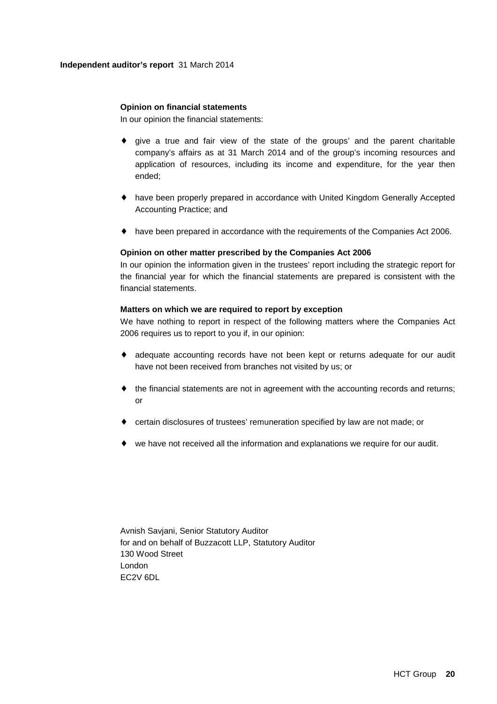# **Opinion on financial statements**

In our opinion the financial statements:

- ♦ give a true and fair view of the state of the groups' and the parent charitable company's affairs as at 31 March 2014 and of the group's incoming resources and application of resources, including its income and expenditure, for the year then ended;
- ♦ have been properly prepared in accordance with United Kingdom Generally Accepted Accounting Practice; and
- ♦ have been prepared in accordance with the requirements of the Companies Act 2006.

## **Opinion on other matter prescribed by the Companies Act 2006**

In our opinion the information given in the trustees' report including the strategic report for the financial year for which the financial statements are prepared is consistent with the financial statements.

## **Matters on which we are required to report by exception**

We have nothing to report in respect of the following matters where the Companies Act 2006 requires us to report to you if, in our opinion:

- ♦ adequate accounting records have not been kept or returns adequate for our audit have not been received from branches not visited by us; or
- ♦ the financial statements are not in agreement with the accounting records and returns; or
- ♦ certain disclosures of trustees' remuneration specified by law are not made; or
- $\bullet$  we have not received all the information and explanations we require for our audit.

Avnish Savjani, Senior Statutory Auditor for and on behalf of Buzzacott LLP, Statutory Auditor 130 Wood Street London EC2V 6DL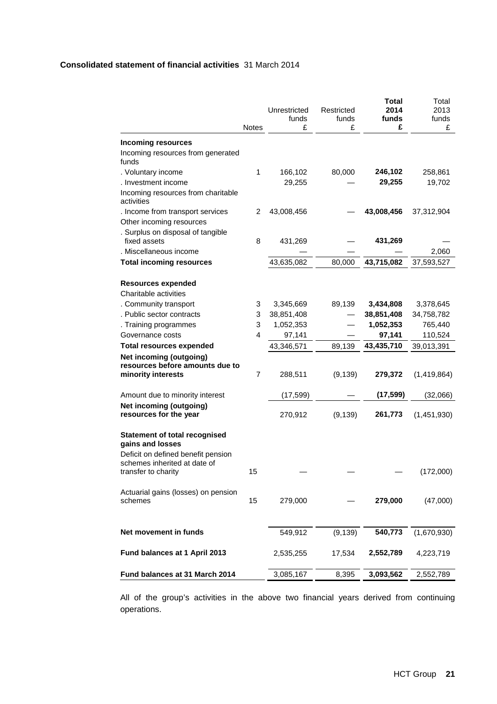# **Consolidated statement of financial activities** 31 March 2014

|                                                                                           | <b>Notes</b> | Unrestricted<br>funds<br>£ | Restricted<br>funds<br>£ | <b>Total</b><br>2014<br>funds<br>£ | Total<br>2013<br>funds<br>£ |
|-------------------------------------------------------------------------------------------|--------------|----------------------------|--------------------------|------------------------------------|-----------------------------|
| <b>Incoming resources</b>                                                                 |              |                            |                          |                                    |                             |
| Incoming resources from generated<br>funds                                                |              |                            |                          |                                    |                             |
| . Voluntary income                                                                        | 1            | 166,102                    | 80,000                   | 246,102                            | 258,861                     |
| . Investment income                                                                       |              | 29,255                     |                          | 29,255                             | 19,702                      |
| Incoming resources from charitable<br>activities                                          |              |                            |                          |                                    |                             |
| . Income from transport services                                                          | 2            | 43,008,456                 |                          | 43,008,456                         | 37,312,904                  |
| Other incoming resources                                                                  |              |                            |                          |                                    |                             |
| . Surplus on disposal of tangible                                                         |              |                            |                          |                                    |                             |
| fixed assets<br>. Miscellaneous income                                                    | 8            | 431,269                    |                          | 431,269                            |                             |
|                                                                                           |              |                            |                          |                                    | 2,060                       |
| <b>Total incoming resources</b>                                                           |              | 43,635,082                 | 80,000                   | 43,715,082                         | 37,593,527                  |
| <b>Resources expended</b><br>Charitable activities                                        |              |                            |                          |                                    |                             |
| . Community transport                                                                     | 3            | 3,345,669                  | 89,139                   | 3,434,808                          | 3,378,645                   |
| . Public sector contracts                                                                 | 3            | 38,851,408                 |                          | 38,851,408                         | 34,758,782                  |
| . Training programmes                                                                     | 3            | 1,052,353                  |                          | 1,052,353                          | 765,440                     |
| Governance costs                                                                          | 4            | 97,141                     |                          | 97,141                             | 110,524                     |
| <b>Total resources expended</b>                                                           |              | 43,346,571                 | 89,139                   | 43,435,710                         | 39,013,391                  |
| Net incoming (outgoing)<br>resources before amounts due to<br>minority interests          | 7            | 288,511                    | (9, 139)                 | 279,372                            | (1,419,864)                 |
| Amount due to minority interest                                                           |              | (17, 599)                  |                          | (17, 599)                          | (32,066)                    |
| Net incoming (outgoing)<br>resources for the year                                         |              | 270,912                    | (9, 139)                 | 261,773                            | (1,451,930)                 |
| <b>Statement of total recognised</b><br>gains and losses                                  |              |                            |                          |                                    |                             |
| Deficit on defined benefit pension<br>schemes inherited at date of<br>transfer to charity | 15           |                            |                          |                                    | (172,000)                   |
| Actuarial gains (losses) on pension<br>schemes                                            | 15           | 279,000                    |                          | 279,000                            | (47,000)                    |
| Net movement in funds                                                                     |              | 549,912                    | (9, 139)                 | 540,773                            | (1,670,930)                 |
| Fund balances at 1 April 2013                                                             |              | 2,535,255                  | 17,534                   | 2,552,789                          | 4,223,719                   |
|                                                                                           |              |                            |                          |                                    |                             |
| Fund balances at 31 March 2014                                                            |              | 3,085,167                  | 8,395                    | 3,093,562                          | 2,552,789                   |

All of the group's activities in the above two financial years derived from continuing operations.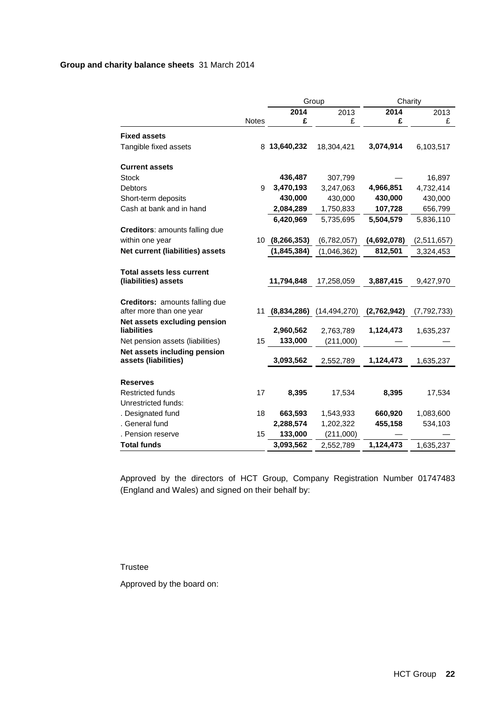# **Group and charity balance sheets** 31 March 2014

| 2014<br>2013<br>2014<br>2013<br><b>Notes</b><br>£<br>£<br>£<br>£<br><b>Fixed assets</b><br>Tangible fixed assets<br>8 13,640,232<br>18,304,421<br>3,074,914<br>6,103,517<br><b>Current assets</b><br>436,487<br><b>Stock</b><br>307,799<br>16,897<br>3,470,193<br>4,966,851<br>4,732,414<br><b>Debtors</b><br>9<br>3,247,063<br>430,000<br>430,000<br>430,000<br>430,000<br>Short-term deposits<br>Cash at bank and in hand<br>2,084,289<br>1,750,833<br>107,728<br>656,799<br>6,420,969<br>5,735,695<br>5,504,579<br>5,836,110<br><b>Creditors: amounts falling due</b><br>within one year<br>10<br>(8, 266, 353)<br>(6,782,057)<br>(4,692,078)<br>(2,511,657)<br>Net current (liabilities) assets<br>(1, 845, 384)<br>(1,046,362)<br>812,501<br>3,324,453<br><b>Total assets less current</b><br>(liabilities) assets<br>11,794,848<br>3,887,415<br>17,258,059<br>9,427,970<br>Creditors: amounts falling due<br>after more than one year<br>11<br>(8,834,286)<br>(14, 494, 270)<br>(2,762,942)<br>(7,792,733)<br>Net assets excluding pension<br>2,960,562<br>liabilities<br>2,763,789<br>1,124,473<br>1,635,237<br>15<br>133,000<br>Net pension assets (liabilities)<br>(211,000)<br>Net assets including pension<br>assets (liabilities)<br>3,093,562<br>1,124,473<br>2,552,789<br>1,635,237<br><b>Reserves</b><br><b>Restricted funds</b><br>17<br>8,395<br>17,534<br>8,395<br>17,534<br>Unrestricted funds:<br>18<br>663,593<br>660,920<br>1,083,600<br>. Designated fund<br>1,543,933<br>. General fund<br>2,288,574<br>1,202,322<br>455,158<br>534,103<br>133,000<br>. Pension reserve<br>15<br>(211,000)<br><b>Total funds</b><br>3,093,562<br>1,124,473<br>2,552,789<br>1,635,237 |  | Group |  | Charity |  |
|----------------------------------------------------------------------------------------------------------------------------------------------------------------------------------------------------------------------------------------------------------------------------------------------------------------------------------------------------------------------------------------------------------------------------------------------------------------------------------------------------------------------------------------------------------------------------------------------------------------------------------------------------------------------------------------------------------------------------------------------------------------------------------------------------------------------------------------------------------------------------------------------------------------------------------------------------------------------------------------------------------------------------------------------------------------------------------------------------------------------------------------------------------------------------------------------------------------------------------------------------------------------------------------------------------------------------------------------------------------------------------------------------------------------------------------------------------------------------------------------------------------------------------------------------------------------------------------------------------------------------------------------------------------------------------------------|--|-------|--|---------|--|
|                                                                                                                                                                                                                                                                                                                                                                                                                                                                                                                                                                                                                                                                                                                                                                                                                                                                                                                                                                                                                                                                                                                                                                                                                                                                                                                                                                                                                                                                                                                                                                                                                                                                                              |  |       |  |         |  |
|                                                                                                                                                                                                                                                                                                                                                                                                                                                                                                                                                                                                                                                                                                                                                                                                                                                                                                                                                                                                                                                                                                                                                                                                                                                                                                                                                                                                                                                                                                                                                                                                                                                                                              |  |       |  |         |  |
|                                                                                                                                                                                                                                                                                                                                                                                                                                                                                                                                                                                                                                                                                                                                                                                                                                                                                                                                                                                                                                                                                                                                                                                                                                                                                                                                                                                                                                                                                                                                                                                                                                                                                              |  |       |  |         |  |
|                                                                                                                                                                                                                                                                                                                                                                                                                                                                                                                                                                                                                                                                                                                                                                                                                                                                                                                                                                                                                                                                                                                                                                                                                                                                                                                                                                                                                                                                                                                                                                                                                                                                                              |  |       |  |         |  |
|                                                                                                                                                                                                                                                                                                                                                                                                                                                                                                                                                                                                                                                                                                                                                                                                                                                                                                                                                                                                                                                                                                                                                                                                                                                                                                                                                                                                                                                                                                                                                                                                                                                                                              |  |       |  |         |  |
|                                                                                                                                                                                                                                                                                                                                                                                                                                                                                                                                                                                                                                                                                                                                                                                                                                                                                                                                                                                                                                                                                                                                                                                                                                                                                                                                                                                                                                                                                                                                                                                                                                                                                              |  |       |  |         |  |
|                                                                                                                                                                                                                                                                                                                                                                                                                                                                                                                                                                                                                                                                                                                                                                                                                                                                                                                                                                                                                                                                                                                                                                                                                                                                                                                                                                                                                                                                                                                                                                                                                                                                                              |  |       |  |         |  |
|                                                                                                                                                                                                                                                                                                                                                                                                                                                                                                                                                                                                                                                                                                                                                                                                                                                                                                                                                                                                                                                                                                                                                                                                                                                                                                                                                                                                                                                                                                                                                                                                                                                                                              |  |       |  |         |  |
|                                                                                                                                                                                                                                                                                                                                                                                                                                                                                                                                                                                                                                                                                                                                                                                                                                                                                                                                                                                                                                                                                                                                                                                                                                                                                                                                                                                                                                                                                                                                                                                                                                                                                              |  |       |  |         |  |
|                                                                                                                                                                                                                                                                                                                                                                                                                                                                                                                                                                                                                                                                                                                                                                                                                                                                                                                                                                                                                                                                                                                                                                                                                                                                                                                                                                                                                                                                                                                                                                                                                                                                                              |  |       |  |         |  |
|                                                                                                                                                                                                                                                                                                                                                                                                                                                                                                                                                                                                                                                                                                                                                                                                                                                                                                                                                                                                                                                                                                                                                                                                                                                                                                                                                                                                                                                                                                                                                                                                                                                                                              |  |       |  |         |  |
|                                                                                                                                                                                                                                                                                                                                                                                                                                                                                                                                                                                                                                                                                                                                                                                                                                                                                                                                                                                                                                                                                                                                                                                                                                                                                                                                                                                                                                                                                                                                                                                                                                                                                              |  |       |  |         |  |
|                                                                                                                                                                                                                                                                                                                                                                                                                                                                                                                                                                                                                                                                                                                                                                                                                                                                                                                                                                                                                                                                                                                                                                                                                                                                                                                                                                                                                                                                                                                                                                                                                                                                                              |  |       |  |         |  |
|                                                                                                                                                                                                                                                                                                                                                                                                                                                                                                                                                                                                                                                                                                                                                                                                                                                                                                                                                                                                                                                                                                                                                                                                                                                                                                                                                                                                                                                                                                                                                                                                                                                                                              |  |       |  |         |  |
|                                                                                                                                                                                                                                                                                                                                                                                                                                                                                                                                                                                                                                                                                                                                                                                                                                                                                                                                                                                                                                                                                                                                                                                                                                                                                                                                                                                                                                                                                                                                                                                                                                                                                              |  |       |  |         |  |
|                                                                                                                                                                                                                                                                                                                                                                                                                                                                                                                                                                                                                                                                                                                                                                                                                                                                                                                                                                                                                                                                                                                                                                                                                                                                                                                                                                                                                                                                                                                                                                                                                                                                                              |  |       |  |         |  |
|                                                                                                                                                                                                                                                                                                                                                                                                                                                                                                                                                                                                                                                                                                                                                                                                                                                                                                                                                                                                                                                                                                                                                                                                                                                                                                                                                                                                                                                                                                                                                                                                                                                                                              |  |       |  |         |  |
|                                                                                                                                                                                                                                                                                                                                                                                                                                                                                                                                                                                                                                                                                                                                                                                                                                                                                                                                                                                                                                                                                                                                                                                                                                                                                                                                                                                                                                                                                                                                                                                                                                                                                              |  |       |  |         |  |
|                                                                                                                                                                                                                                                                                                                                                                                                                                                                                                                                                                                                                                                                                                                                                                                                                                                                                                                                                                                                                                                                                                                                                                                                                                                                                                                                                                                                                                                                                                                                                                                                                                                                                              |  |       |  |         |  |
|                                                                                                                                                                                                                                                                                                                                                                                                                                                                                                                                                                                                                                                                                                                                                                                                                                                                                                                                                                                                                                                                                                                                                                                                                                                                                                                                                                                                                                                                                                                                                                                                                                                                                              |  |       |  |         |  |
|                                                                                                                                                                                                                                                                                                                                                                                                                                                                                                                                                                                                                                                                                                                                                                                                                                                                                                                                                                                                                                                                                                                                                                                                                                                                                                                                                                                                                                                                                                                                                                                                                                                                                              |  |       |  |         |  |
|                                                                                                                                                                                                                                                                                                                                                                                                                                                                                                                                                                                                                                                                                                                                                                                                                                                                                                                                                                                                                                                                                                                                                                                                                                                                                                                                                                                                                                                                                                                                                                                                                                                                                              |  |       |  |         |  |
|                                                                                                                                                                                                                                                                                                                                                                                                                                                                                                                                                                                                                                                                                                                                                                                                                                                                                                                                                                                                                                                                                                                                                                                                                                                                                                                                                                                                                                                                                                                                                                                                                                                                                              |  |       |  |         |  |
|                                                                                                                                                                                                                                                                                                                                                                                                                                                                                                                                                                                                                                                                                                                                                                                                                                                                                                                                                                                                                                                                                                                                                                                                                                                                                                                                                                                                                                                                                                                                                                                                                                                                                              |  |       |  |         |  |
|                                                                                                                                                                                                                                                                                                                                                                                                                                                                                                                                                                                                                                                                                                                                                                                                                                                                                                                                                                                                                                                                                                                                                                                                                                                                                                                                                                                                                                                                                                                                                                                                                                                                                              |  |       |  |         |  |
|                                                                                                                                                                                                                                                                                                                                                                                                                                                                                                                                                                                                                                                                                                                                                                                                                                                                                                                                                                                                                                                                                                                                                                                                                                                                                                                                                                                                                                                                                                                                                                                                                                                                                              |  |       |  |         |  |
|                                                                                                                                                                                                                                                                                                                                                                                                                                                                                                                                                                                                                                                                                                                                                                                                                                                                                                                                                                                                                                                                                                                                                                                                                                                                                                                                                                                                                                                                                                                                                                                                                                                                                              |  |       |  |         |  |
|                                                                                                                                                                                                                                                                                                                                                                                                                                                                                                                                                                                                                                                                                                                                                                                                                                                                                                                                                                                                                                                                                                                                                                                                                                                                                                                                                                                                                                                                                                                                                                                                                                                                                              |  |       |  |         |  |
|                                                                                                                                                                                                                                                                                                                                                                                                                                                                                                                                                                                                                                                                                                                                                                                                                                                                                                                                                                                                                                                                                                                                                                                                                                                                                                                                                                                                                                                                                                                                                                                                                                                                                              |  |       |  |         |  |
|                                                                                                                                                                                                                                                                                                                                                                                                                                                                                                                                                                                                                                                                                                                                                                                                                                                                                                                                                                                                                                                                                                                                                                                                                                                                                                                                                                                                                                                                                                                                                                                                                                                                                              |  |       |  |         |  |
|                                                                                                                                                                                                                                                                                                                                                                                                                                                                                                                                                                                                                                                                                                                                                                                                                                                                                                                                                                                                                                                                                                                                                                                                                                                                                                                                                                                                                                                                                                                                                                                                                                                                                              |  |       |  |         |  |

Approved by the directors of HCT Group, Company Registration Number 01747483 (England and Wales) and signed on their behalf by:

Trustee

Approved by the board on: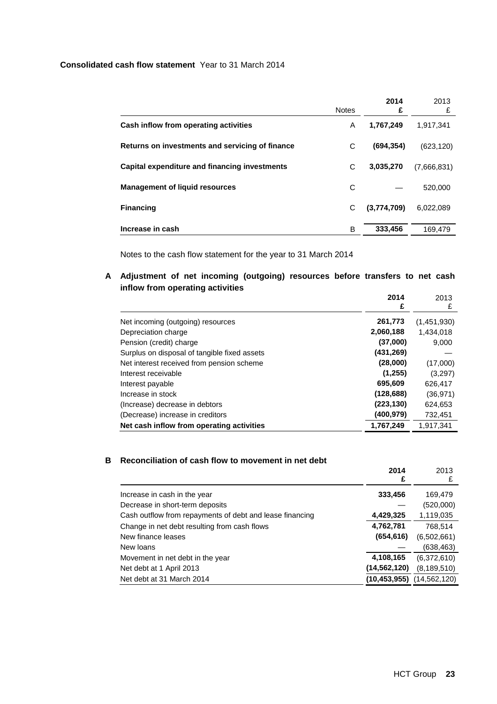# **Consolidated cash flow statement** Year to 31 March 2014

|                                                 | <b>Notes</b> | 2014<br>£   | 2013<br>£   |
|-------------------------------------------------|--------------|-------------|-------------|
| Cash inflow from operating activities           | A            | 1,767,249   | 1.917.341   |
| Returns on investments and servicing of finance | C            | (694, 354)  | (623, 120)  |
| Capital expenditure and financing investments   | C            | 3,035,270   | (7,666,831) |
| <b>Management of liquid resources</b>           | С            |             | 520,000     |
| <b>Financing</b>                                | С            | (3,774,709) | 6.022.089   |
| Increase in cash                                | B            | 333,456     | 169.479     |

Notes to the cash flow statement for the year to 31 March 2014

**A Adjustment of net incoming (outgoing) resources before transfers to net cash inflow from operating activities** 

|                                              | 2014<br>£  | 2013<br>£   |
|----------------------------------------------|------------|-------------|
| Net incoming (outgoing) resources            | 261,773    | (1,451,930) |
| Depreciation charge                          | 2,060,188  | 1,434,018   |
| Pension (credit) charge                      | (37,000)   | 9.000       |
| Surplus on disposal of tangible fixed assets | (431, 269) |             |
| Net interest received from pension scheme    | (28,000)   | (17,000)    |
| Interest receivable                          | (1,255)    | (3,297)     |
| Interest payable                             | 695,609    | 626.417     |
| Increase in stock                            | (128, 688) | (36, 971)   |
| (Increase) decrease in debtors               | (223, 130) | 624,653     |
| (Decrease) increase in creditors             | (400, 979) | 732,451     |
| Net cash inflow from operating activities    | 1,767,249  | 1,917,341   |

# **B Reconciliation of cash flow to movement in net debt**

|                                                          | 2014           | 2013           |
|----------------------------------------------------------|----------------|----------------|
|                                                          | £              | £              |
| Increase in cash in the year                             | 333,456        | 169,479        |
| Decrease in short-term deposits                          |                | (520,000)      |
| Cash outflow from repayments of debt and lease financing | 4,429,325      | 1,119,035      |
| Change in net debt resulting from cash flows             | 4,762,781      | 768,514        |
| New finance leases                                       | (654, 616)     | (6,502,661)    |
| New loans                                                |                | (638, 463)     |
| Movement in net debt in the year                         | 4,108,165      | (6,372,610)    |
| Net debt at 1 April 2013                                 | (14,562,120)   | (8, 189, 510)  |
| Net debt at 31 March 2014                                | (10, 453, 955) | (14, 562, 120) |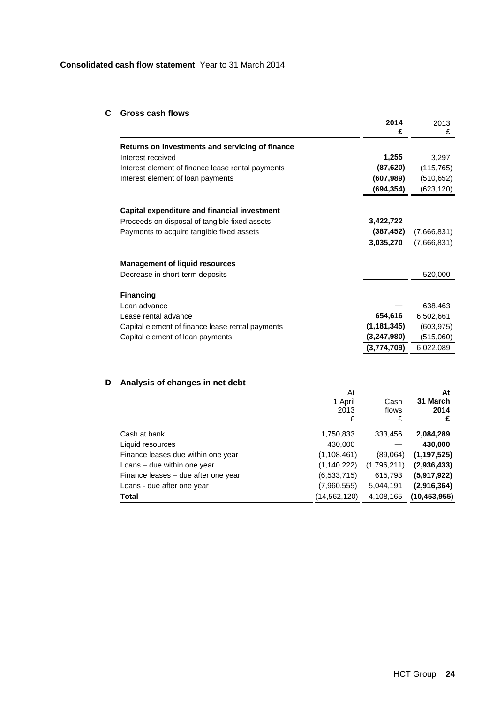# **Consolidated cash flow statement** Year to 31 March 2014

# **C Gross cash flows**

|                                                   | 2014<br>£     | 2013<br>£   |
|---------------------------------------------------|---------------|-------------|
| Returns on investments and servicing of finance   |               |             |
| Interest received                                 | 1,255         | 3,297       |
| Interest element of finance lease rental payments | (87, 620)     | (115, 765)  |
| Interest element of loan payments                 | (607, 989)    | (510,652)   |
|                                                   | (694, 354)    | (623,120)   |
|                                                   |               |             |
| Capital expenditure and financial investment      | 3,422,722     |             |
| Proceeds on disposal of tangible fixed assets     |               |             |
| Payments to acquire tangible fixed assets         | (387, 452)    | (7,666,831) |
|                                                   | 3,035,270     | (7,666,831) |
| <b>Management of liquid resources</b>             |               |             |
| Decrease in short-term deposits                   |               | 520,000     |
| <b>Financing</b>                                  |               |             |
| Loan advance                                      |               | 638,463     |
| Lease rental advance                              | 654,616       | 6,502,661   |
| Capital element of finance lease rental payments  | (1, 181, 345) | (603, 975)  |
| Capital element of loan payments                  | (3,247,980)   | (515,060)   |
|                                                   | (3,774,709)   | 6,022,089   |

# **D Analysis of changes in net debt**

|                                     | At<br>1 April<br>2013<br>£ | Cash<br>flows<br>£ | At<br>31 March<br>2014<br>£ |
|-------------------------------------|----------------------------|--------------------|-----------------------------|
| Cash at bank                        | 1,750,833                  | 333,456            | 2,084,289                   |
| Liquid resources                    | 430,000                    |                    | 430,000                     |
| Finance leases due within one year  | (1, 108, 461)              | (89,064)           | (1, 197, 525)               |
| Loans - due within one year         | (1, 140, 222)              | (1,796,211)        | (2,936,433)                 |
| Finance leases - due after one year | (6,533,715)                | 615,793            | (5,917,922)                 |
| Loans - due after one year          | (7,960,555)                | 5,044,191          | (2,916,364)                 |
| <b>Total</b>                        | (14,562,120)               | 4,108,165          | (10, 453, 955)              |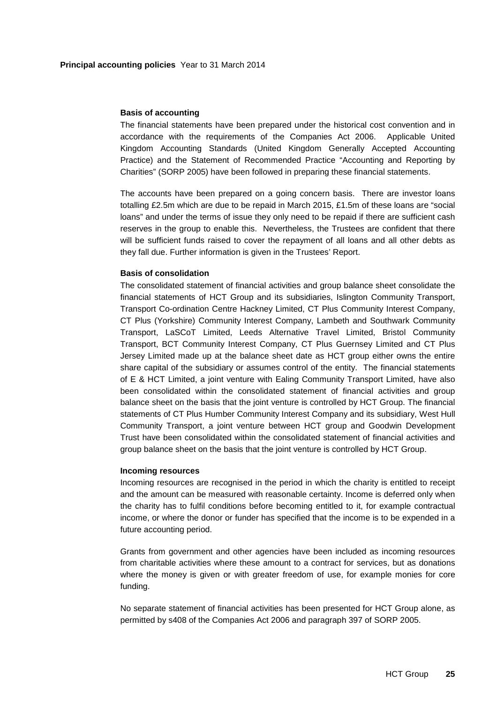### **Basis of accounting**

The financial statements have been prepared under the historical cost convention and in accordance with the requirements of the Companies Act 2006. Applicable United Kingdom Accounting Standards (United Kingdom Generally Accepted Accounting Practice) and the Statement of Recommended Practice "Accounting and Reporting by Charities" (SORP 2005) have been followed in preparing these financial statements.

The accounts have been prepared on a going concern basis. There are investor loans totalling £2.5m which are due to be repaid in March 2015, £1.5m of these loans are "social loans" and under the terms of issue they only need to be repaid if there are sufficient cash reserves in the group to enable this. Nevertheless, the Trustees are confident that there will be sufficient funds raised to cover the repayment of all loans and all other debts as they fall due. Further information is given in the Trustees' Report.

## **Basis of consolidation**

The consolidated statement of financial activities and group balance sheet consolidate the financial statements of HCT Group and its subsidiaries, Islington Community Transport, Transport Co-ordination Centre Hackney Limited, CT Plus Community Interest Company, CT Plus (Yorkshire) Community Interest Company, Lambeth and Southwark Community Transport, LaSCoT Limited, Leeds Alternative Travel Limited, Bristol Community Transport, BCT Community Interest Company, CT Plus Guernsey Limited and CT Plus Jersey Limited made up at the balance sheet date as HCT group either owns the entire share capital of the subsidiary or assumes control of the entity. The financial statements of E & HCT Limited, a joint venture with Ealing Community Transport Limited, have also been consolidated within the consolidated statement of financial activities and group balance sheet on the basis that the joint venture is controlled by HCT Group. The financial statements of CT Plus Humber Community Interest Company and its subsidiary, West Hull Community Transport, a joint venture between HCT group and Goodwin Development Trust have been consolidated within the consolidated statement of financial activities and group balance sheet on the basis that the joint venture is controlled by HCT Group.

#### **Incoming resources**

Incoming resources are recognised in the period in which the charity is entitled to receipt and the amount can be measured with reasonable certainty. Income is deferred only when the charity has to fulfil conditions before becoming entitled to it, for example contractual income, or where the donor or funder has specified that the income is to be expended in a future accounting period.

Grants from government and other agencies have been included as incoming resources from charitable activities where these amount to a contract for services, but as donations where the money is given or with greater freedom of use, for example monies for core funding.

No separate statement of financial activities has been presented for HCT Group alone, as permitted by s408 of the Companies Act 2006 and paragraph 397 of SORP 2005.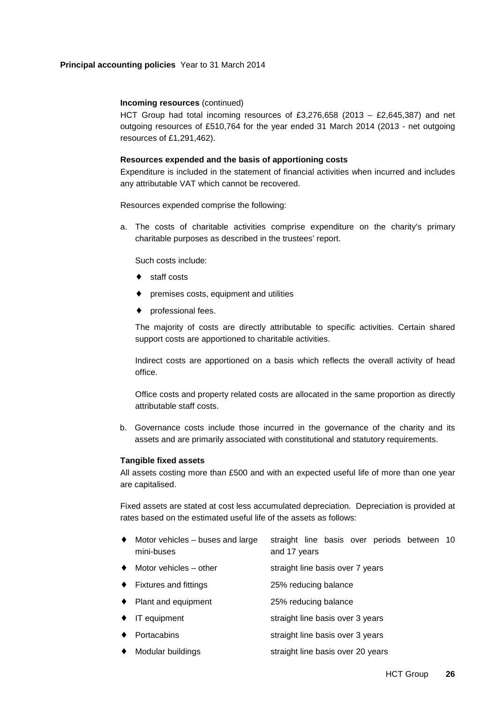# **Principal accounting policies** Year to 31 March 2014

# **Incoming resources** (continued)

HCT Group had total incoming resources of £3,276,658 (2013 – £2,645,387) and net outgoing resources of £510,764 for the year ended 31 March 2014 (2013 - net outgoing resources of £1,291,462).

## **Resources expended and the basis of apportioning costs**

Expenditure is included in the statement of financial activities when incurred and includes any attributable VAT which cannot be recovered.

Resources expended comprise the following:

a. The costs of charitable activities comprise expenditure on the charity's primary charitable purposes as described in the trustees' report.

Such costs include:

- staff costs
- premises costs, equipment and utilities
- professional fees.

The majority of costs are directly attributable to specific activities. Certain shared support costs are apportioned to charitable activities.

Indirect costs are apportioned on a basis which reflects the overall activity of head office.

Office costs and property related costs are allocated in the same proportion as directly attributable staff costs.

b. Governance costs include those incurred in the governance of the charity and its assets and are primarily associated with constitutional and statutory requirements.

#### **Tangible fixed assets**

All assets costing more than £500 and with an expected useful life of more than one year are capitalised.

Fixed assets are stated at cost less accumulated depreciation. Depreciation is provided at rates based on the estimated useful life of the assets as follows:

| • Motor vehicles – buses and large straight line basis over periods between 10 |              |  |  |  |
|--------------------------------------------------------------------------------|--------------|--|--|--|
| mini-buses                                                                     | and 17 years |  |  |  |

- Motor vehicles other straight line basis over 7 years
- ♦ Fixtures and fittings 25% reducing balance
- ♦ Plant and equipment 25% reducing balance
- ◆ IT equipment straight line basis over 3 years
- Portacabins **Straight line basis over 3 years** straight line basis over 3 years
- Modular buildings straight line basis over 20 years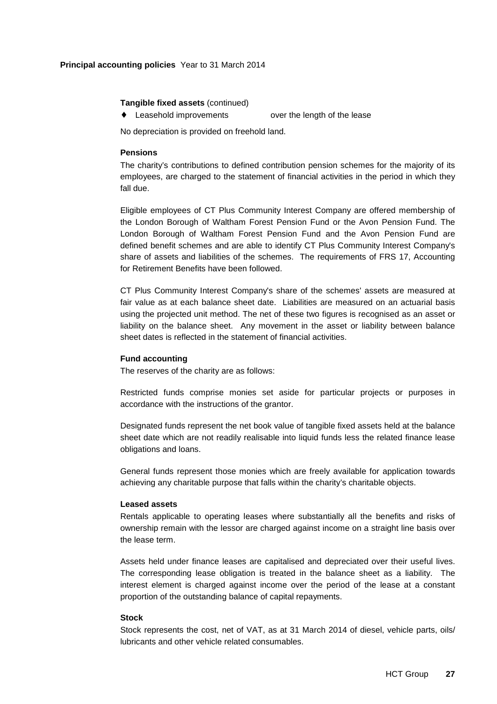## **Principal accounting policies** Year to 31 March 2014

## **Tangible fixed assets** (continued)

♦ Leasehold improvements over the length of the lease

No depreciation is provided on freehold land.

## **Pensions**

The charity's contributions to defined contribution pension schemes for the majority of its employees, are charged to the statement of financial activities in the period in which they fall due.

Eligible employees of CT Plus Community Interest Company are offered membership of the London Borough of Waltham Forest Pension Fund or the Avon Pension Fund. The London Borough of Waltham Forest Pension Fund and the Avon Pension Fund are defined benefit schemes and are able to identify CT Plus Community Interest Company's share of assets and liabilities of the schemes. The requirements of FRS 17, Accounting for Retirement Benefits have been followed.

CT Plus Community Interest Company's share of the schemes' assets are measured at fair value as at each balance sheet date. Liabilities are measured on an actuarial basis using the projected unit method. The net of these two figures is recognised as an asset or liability on the balance sheet. Any movement in the asset or liability between balance sheet dates is reflected in the statement of financial activities.

## **Fund accounting**

The reserves of the charity are as follows:

Restricted funds comprise monies set aside for particular projects or purposes in accordance with the instructions of the grantor.

Designated funds represent the net book value of tangible fixed assets held at the balance sheet date which are not readily realisable into liquid funds less the related finance lease obligations and loans.

General funds represent those monies which are freely available for application towards achieving any charitable purpose that falls within the charity's charitable objects.

#### **Leased assets**

Rentals applicable to operating leases where substantially all the benefits and risks of ownership remain with the lessor are charged against income on a straight line basis over the lease term.

Assets held under finance leases are capitalised and depreciated over their useful lives. The corresponding lease obligation is treated in the balance sheet as a liability. The interest element is charged against income over the period of the lease at a constant proportion of the outstanding balance of capital repayments.

# **Stock**

Stock represents the cost, net of VAT, as at 31 March 2014 of diesel, vehicle parts, oils/ lubricants and other vehicle related consumables.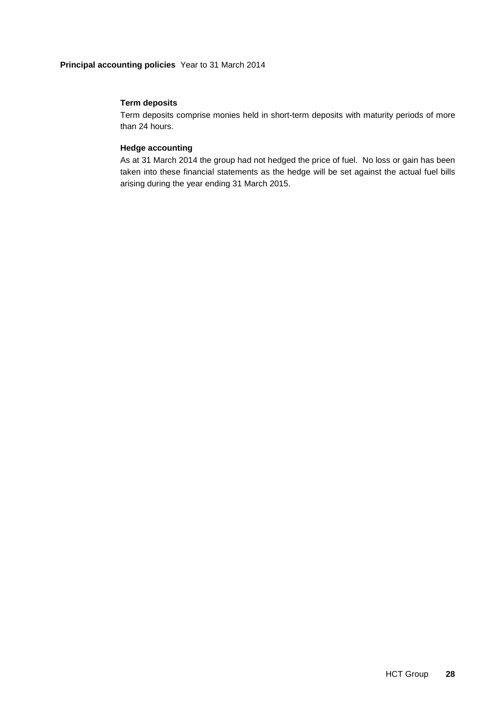# **Principal accounting policies** Year to 31 March 2014

# **Term deposits**

Term deposits comprise monies held in short-term deposits with maturity periods of more than 24 hours.

# **Hedge accounting**

As at 31 March 2014 the group had not hedged the price of fuel. No loss or gain has been taken into these financial statements as the hedge will be set against the actual fuel bills arising during the year ending 31 March 2015.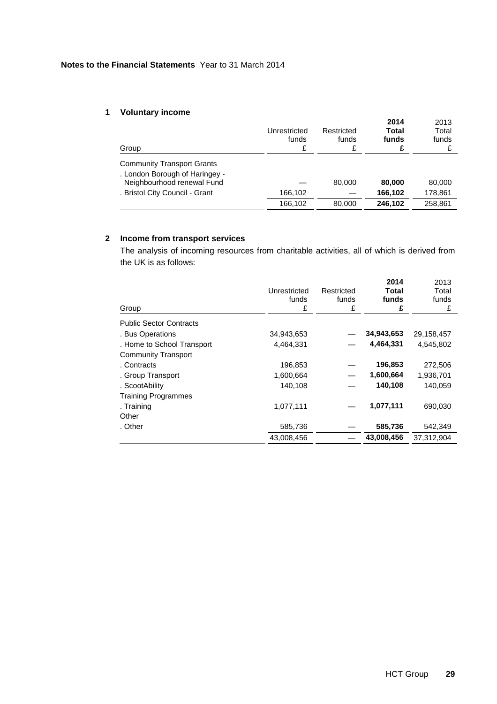# **1 Voluntary income**

| Group                                                               | Unrestricted<br>funds<br>£ | Restricted<br>funds<br>£ | 2014<br>Total<br>funds | 2013<br>Total<br>funds |
|---------------------------------------------------------------------|----------------------------|--------------------------|------------------------|------------------------|
| <b>Community Transport Grants</b><br>. London Borough of Haringey - |                            |                          |                        |                        |
| Neighbourhood renewal Fund                                          |                            | 80,000                   | 80,000                 | 80,000                 |
| . Bristol City Council - Grant                                      | 166,102                    |                          | 166,102                | 178,861                |
|                                                                     | 166,102                    | 80,000                   | 246,102                | 258.861                |

# **2 Income from transport services**

The analysis of incoming resources from charitable activities, all of which is derived from the UK is as follows:

| Group                          | Unrestricted<br>funds<br>£ | Restricted<br>funds<br>£ | 2014<br>Total<br>funds<br>£ | 2013<br>Total<br>funds<br>£ |
|--------------------------------|----------------------------|--------------------------|-----------------------------|-----------------------------|
| <b>Public Sector Contracts</b> |                            |                          |                             |                             |
| . Bus Operations               | 34,943,653                 |                          | 34,943,653                  | 29,158,457                  |
| . Home to School Transport     | 4,464,331                  |                          | 4,464,331                   | 4,545,802                   |
| <b>Community Transport</b>     |                            |                          |                             |                             |
| . Contracts                    | 196,853                    |                          | 196,853                     | 272,506                     |
| . Group Transport              | 1,600,664                  |                          | 1,600,664                   | 1,936,701                   |
| . ScootAbility                 | 140,108                    |                          | 140,108                     | 140,059                     |
| <b>Training Programmes</b>     |                            |                          |                             |                             |
| . Training                     | 1,077,111                  |                          | 1,077,111                   | 690,030                     |
| Other                          |                            |                          |                             |                             |
| . Other                        | 585,736                    |                          | 585,736                     | 542,349                     |
|                                | 43.008.456                 |                          | 43,008,456                  | 37.312.904                  |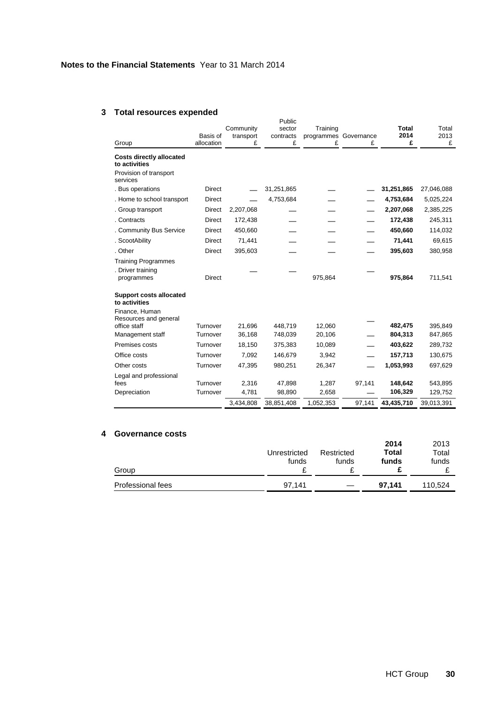# **3 Total resources expended**

| Group                                                   | Basis of<br>allocation | Community<br>transport<br>£ | Public<br>sector<br>contracts<br>£ | Training<br>programmes Governance<br>£ | £      | <b>Total</b><br>2014<br>£ | Total<br>2013<br>£ |
|---------------------------------------------------------|------------------------|-----------------------------|------------------------------------|----------------------------------------|--------|---------------------------|--------------------|
| <b>Costs directly allocated</b><br>to activities        |                        |                             |                                    |                                        |        |                           |                    |
| Provision of transport<br>services                      |                        |                             |                                    |                                        |        |                           |                    |
| . Bus operations                                        | <b>Direct</b>          |                             | 31,251,865                         |                                        |        | 31,251,865                | 27,046,088         |
| . Home to school transport                              | <b>Direct</b>          |                             | 4,753,684                          |                                        |        | 4,753,684                 | 5,025,224          |
| . Group transport                                       | Direct                 | 2,207,068                   |                                    |                                        |        | 2,207,068                 | 2,385,225          |
| . Contracts                                             | <b>Direct</b>          | 172,438                     |                                    |                                        |        | 172,438                   | 245,311            |
| . Community Bus Service                                 | <b>Direct</b>          | 450,660                     |                                    |                                        |        | 450,660                   | 114,032            |
| . ScootAbility                                          | <b>Direct</b>          | 71,441                      |                                    |                                        |        | 71,441                    | 69,615             |
| . Other                                                 | <b>Direct</b>          | 395,603                     |                                    |                                        |        | 395,603                   | 380,958            |
| <b>Training Programmes</b>                              |                        |                             |                                    |                                        |        |                           |                    |
| . Driver training<br>programmes                         | <b>Direct</b>          |                             |                                    | 975,864                                |        | 975,864                   | 711,541            |
| <b>Support costs allocated</b><br>to activities         |                        |                             |                                    |                                        |        |                           |                    |
| Finance, Human<br>Resources and general<br>office staff | Turnover               | 21,696                      | 448,719                            | 12,060                                 |        | 482,475                   | 395,849            |
| Management staff                                        | Turnover               | 36,168                      | 748,039                            | 20,106                                 |        | 804,313                   | 847,865            |
| Premises costs                                          | Turnover               | 18,150                      | 375,383                            | 10,089                                 |        | 403,622                   | 289,732            |
| Office costs                                            | Turnover               | 7,092                       | 146,679                            | 3,942                                  |        | 157,713                   | 130,675            |
| Other costs                                             | Turnover               | 47,395                      | 980,251                            | 26,347                                 |        | 1,053,993                 | 697,629            |
| Legal and professional                                  |                        |                             |                                    |                                        |        |                           |                    |
| fees                                                    | Turnover               | 2,316                       | 47,898                             | 1,287                                  | 97,141 | 148,642                   | 543,895            |
| Depreciation                                            | Turnover               | 4,781                       | 98,890                             | 2,658                                  |        | 106,329                   | 129,752            |
|                                                         |                        | 3,434,808                   | 38,851,408                         | 1,052,353                              | 97,141 | 43,435,710                | 39,013,391         |

# **4 Governance costs**

| Group             | Unrestricted<br>funds | Restricted<br>funds | 2014<br>Total<br>funds | 2013<br>Total<br>funds |
|-------------------|-----------------------|---------------------|------------------------|------------------------|
| Professional fees | 97.141                |                     | 97,141                 | 110,524                |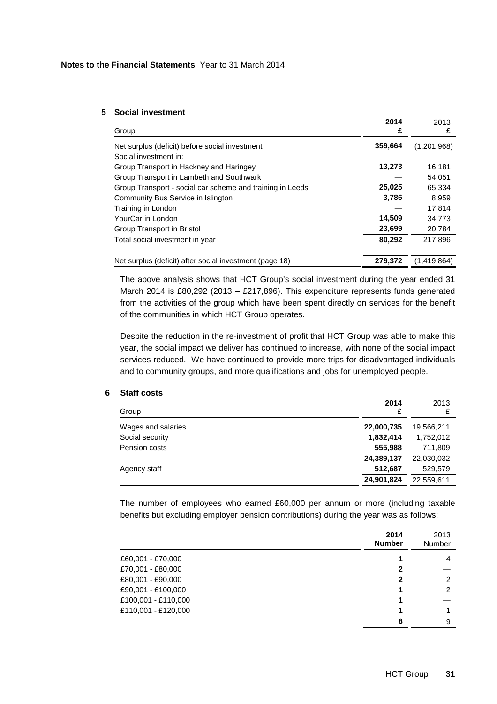### **5 Social investment**

| Group                                                     | 2014<br>£ | 2013<br>£   |
|-----------------------------------------------------------|-----------|-------------|
| Net surplus (deficit) before social investment            | 359,664   | (1,201,968) |
| Social investment in:                                     |           |             |
| Group Transport in Hackney and Haringey                   | 13,273    | 16.181      |
| Group Transport in Lambeth and Southwark                  |           | 54,051      |
| Group Transport - social car scheme and training in Leeds | 25,025    | 65,334      |
| Community Bus Service in Islington                        | 3,786     | 8,959       |
| Training in London                                        |           | 17.814      |
| YourCar in London                                         | 14,509    | 34,773      |
| Group Transport in Bristol                                | 23,699    | 20,784      |
| Total social investment in year                           | 80,292    | 217.896     |
| Net surplus (deficit) after social investment (page 18)   | 279,372   | (1,419,864) |

The above analysis shows that HCT Group's social investment during the year ended 31 March 2014 is £80,292 (2013 – £217,896). This expenditure represents funds generated from the activities of the group which have been spent directly on services for the benefit of the communities in which HCT Group operates.

Despite the reduction in the re-investment of profit that HCT Group was able to make this year, the social impact we deliver has continued to increase, with none of the social impact services reduced. We have continued to provide more trips for disadvantaged individuals and to community groups, and more qualifications and jobs for unemployed people.

## **6 Staff costs**

| 2014<br>£  | 2013       |
|------------|------------|
| 22,000,735 | 19,566,211 |
| 1,832,414  | 1,752,012  |
| 555,988    | 711,809    |
| 24,389,137 | 22,030,032 |
| 512,687    | 529,579    |
| 24,901,824 | 22,559,611 |
|            |            |

The number of employees who earned £60,000 per annum or more (including taxable benefits but excluding employer pension contributions) during the year was as follows:

|                     | 2014<br><b>Number</b> | 2013<br>Number |
|---------------------|-----------------------|----------------|
| £60,001 - £70,000   |                       | 4              |
| £70,001 - £80,000   | 2                     |                |
| £80,001 - £90,000   | 2                     | 2              |
| £90,001 - £100,000  |                       | 2              |
| £100,001 - £110,000 |                       |                |
| £110,001 - £120,000 |                       |                |
|                     | 8                     | 9              |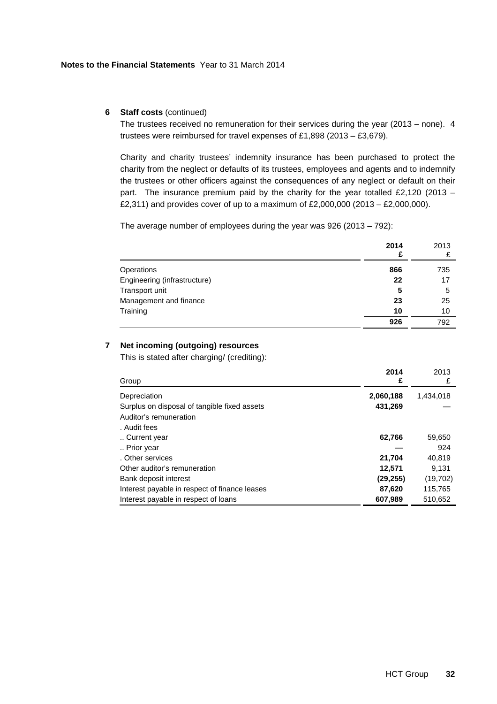# **6 Staff costs** (continued)

The trustees received no remuneration for their services during the year (2013 – none). 4 trustees were reimbursed for travel expenses of £1,898 (2013 – £3,679).

Charity and charity trustees' indemnity insurance has been purchased to protect the charity from the neglect or defaults of its trustees, employees and agents and to indemnify the trustees or other officers against the consequences of any neglect or default on their part. The insurance premium paid by the charity for the year totalled £2,120 (2013 – £2,311) and provides cover of up to a maximum of £2,000,000 (2013 – £2,000,000).

The average number of employees during the year was 926 (2013 – 792):

|                              | 2014<br>£ | 2013 |
|------------------------------|-----------|------|
| Operations                   | 866       | 735  |
| Engineering (infrastructure) | 22        | 17   |
| Transport unit               | 5         | 5    |
| Management and finance       | 23        | 25   |
| Training                     | 10        | 10   |
|                              | 926       | 792  |

# **7 Net incoming (outgoing) resources**

This is stated after charging/ (crediting):

| Group                                         | 2014<br>£ | 2013<br>£ |
|-----------------------------------------------|-----------|-----------|
| Depreciation                                  | 2,060,188 | 1,434,018 |
| Surplus on disposal of tangible fixed assets  | 431,269   |           |
| Auditor's remuneration                        |           |           |
| . Audit fees                                  |           |           |
| Current year                                  | 62,766    | 59,650    |
| Prior year                                    |           | 924       |
| . Other services                              | 21,704    | 40,819    |
| Other auditor's remuneration                  | 12,571    | 9.131     |
| Bank deposit interest                         | (29, 255) | (19,702)  |
| Interest payable in respect of finance leases | 87,620    | 115.765   |
| Interest payable in respect of loans          | 607,989   | 510,652   |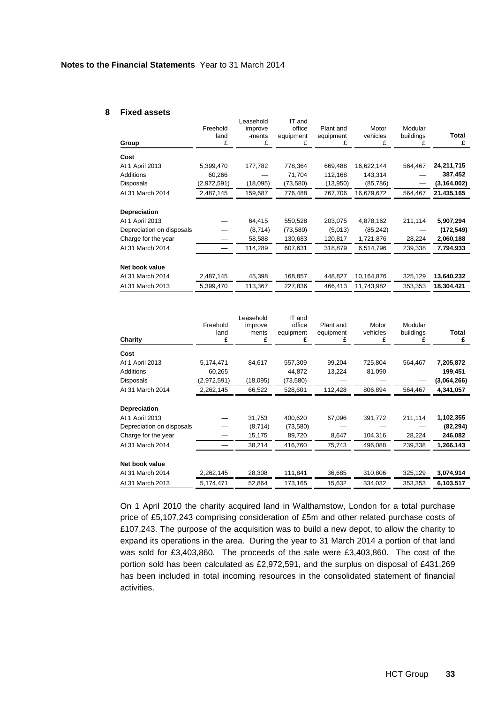#### **8 Fixed assets**

|                           | Freehold<br>land | Leasehold<br>improve<br>-ments | IT and<br>office<br>equipment | Plant and<br>equipment | Motor<br>vehicles | Modular<br>buildings | Total         |
|---------------------------|------------------|--------------------------------|-------------------------------|------------------------|-------------------|----------------------|---------------|
| Group                     | £                | £                              | £                             | £                      | £                 | £                    | £             |
| Cost                      |                  |                                |                               |                        |                   |                      |               |
| At 1 April 2013           | 5,399,470        | 177,782                        | 778,364                       | 669,488                | 16,622,144        | 564,467              | 24,211,715    |
| <b>Additions</b>          | 60,266           |                                | 71,704                        | 112,168                | 143,314           |                      | 387,452       |
| Disposals                 | (2,972,591)      | (18,095)                       | (73, 580)                     | (13,950)               | (85, 786)         |                      | (3, 164, 002) |
| At 31 March 2014          | 2,487,145        | 159,687                        | 776,488                       | 767,706                | 16,679,672        | 564,467              | 21,435,165    |
| <b>Depreciation</b>       |                  |                                |                               |                        |                   |                      |               |
| At 1 April 2013           |                  | 64,415                         | 550,528                       | 203,075                | 4,878,162         | 211,114              | 5,907,294     |
| Depreciation on disposals |                  | (8,714)                        | (73, 580)                     | (5,013)                | (85,242)          |                      | (172, 549)    |
| Charge for the year       |                  | 58,588                         | 130,683                       | 120,817                | 1,721,876         | 28,224               | 2,060,188     |
| At 31 March 2014          |                  | 114,289                        | 607,631                       | 318,879                | 6,514,796         | 239,338              | 7,794,933     |
| Net book value            |                  |                                |                               |                        |                   |                      |               |
| At 31 March 2014          | 2,487,145        | 45,398                         | 168,857                       | 448,827                | 10,164,876        | 325,129              | 13,640,232    |
| At 31 March 2013          | 5,399,470        | 113,367                        | 227,836                       | 466,413                | 11,743,982        | 353,353              | 18,304,421    |

| Charity                   | Freehold<br>land<br>£ | Leasehold<br>improve<br>-ments<br>£ | IT and<br>office<br>equipment<br>£ | Plant and<br>equipment<br>£ | Motor<br>vehicles<br>£ | Modular<br>buildings | Total<br>£  |
|---------------------------|-----------------------|-------------------------------------|------------------------------------|-----------------------------|------------------------|----------------------|-------------|
| Cost                      |                       |                                     |                                    |                             |                        |                      |             |
| At 1 April 2013           | 5,174,471             | 84,617                              | 557,309                            | 99,204                      | 725,804                | 564,467              | 7,205,872   |
| Additions                 | 60,265                |                                     | 44,872                             | 13,224                      | 81,090                 |                      | 199,451     |
| <b>Disposals</b>          | (2,972,591)           | (18,095)                            | (73, 580)                          |                             |                        |                      | (3,064,266) |
| At 31 March 2014          | 2,262,145             | 66,522                              | 528,601                            | 112,428                     | 806,894                | 564,467              | 4,341,057   |
| <b>Depreciation</b>       |                       |                                     |                                    |                             |                        |                      |             |
| At 1 April 2013           |                       | 31,753                              | 400,620                            | 67,096                      | 391,772                | 211,114              | 1,102,355   |
| Depreciation on disposals |                       | (8,714)                             | (73, 580)                          |                             |                        |                      | (82, 294)   |
| Charge for the year       |                       | 15,175                              | 89,720                             | 8,647                       | 104,316                | 28,224               | 246,082     |
| At 31 March 2014          |                       | 38,214                              | 416,760                            | 75,743                      | 496,088                | 239,338              | 1,266,143   |
| Net book value            |                       |                                     |                                    |                             |                        |                      |             |
| At 31 March 2014          | 2,262,145             | 28,308                              | 111,841                            | 36,685                      | 310,806                | 325,129              | 3,074,914   |
| At 31 March 2013          | 5,174,471             | 52,864                              | 173,165                            | 15,632                      | 334,032                | 353,353              | 6,103,517   |

On 1 April 2010 the charity acquired land in Walthamstow, London for a total purchase price of £5,107,243 comprising consideration of £5m and other related purchase costs of £107,243. The purpose of the acquisition was to build a new depot, to allow the charity to expand its operations in the area. During the year to 31 March 2014 a portion of that land was sold for £3,403,860. The proceeds of the sale were £3,403,860. The cost of the portion sold has been calculated as £2,972,591, and the surplus on disposal of £431,269 has been included in total incoming resources in the consolidated statement of financial activities.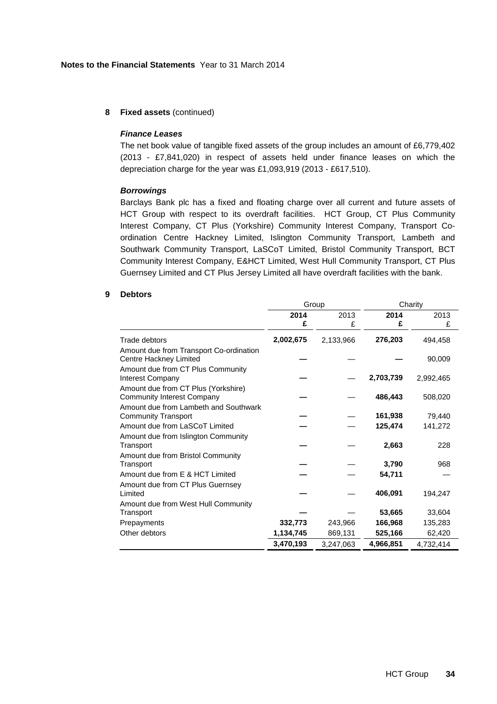# **8 Fixed assets** (continued)

#### **Finance Leases**

The net book value of tangible fixed assets of the group includes an amount of £6,779,402 (2013 - £7,841,020) in respect of assets held under finance leases on which the depreciation charge for the year was £1,093,919 (2013 - £617,510).

#### **Borrowings**

Barclays Bank plc has a fixed and floating charge over all current and future assets of HCT Group with respect to its overdraft facilities. HCT Group, CT Plus Community Interest Company, CT Plus (Yorkshire) Community Interest Company, Transport Coordination Centre Hackney Limited, Islington Community Transport, Lambeth and Southwark Community Transport, LaSCoT Limited, Bristol Community Transport, BCT Community Interest Company, E&HCT Limited, West Hull Community Transport, CT Plus Guernsey Limited and CT Plus Jersey Limited all have overdraft facilities with the bank.

#### **9 Debtors**

|                                                                          | Group     |           | Charity   |           |  |
|--------------------------------------------------------------------------|-----------|-----------|-----------|-----------|--|
|                                                                          | 2014      | 2013      | 2014      | 2013      |  |
|                                                                          | £         | £         | £         | £         |  |
| Trade debtors                                                            | 2,002,675 | 2,133,966 | 276,203   | 494,458   |  |
| Amount due from Transport Co-ordination<br>Centre Hackney Limited        |           |           |           | 90,009    |  |
| Amount due from CT Plus Community<br>Interest Company                    |           |           | 2,703,739 | 2,992,465 |  |
| Amount due from CT Plus (Yorkshire)<br><b>Community Interest Company</b> |           |           | 486,443   | 508,020   |  |
| Amount due from Lambeth and Southwark<br><b>Community Transport</b>      |           |           | 161,938   | 79,440    |  |
| Amount due from LaSCoT Limited                                           |           |           | 125,474   | 141,272   |  |
| Amount due from Islington Community<br>Transport                         |           |           | 2,663     | 228       |  |
| Amount due from Bristol Community<br>Transport                           |           |           | 3,790     | 968       |  |
| Amount due from E & HCT Limited                                          |           |           | 54,711    |           |  |
| Amount due from CT Plus Guernsey<br>Limited                              |           |           | 406,091   | 194,247   |  |
| Amount due from West Hull Community                                      |           |           |           |           |  |
| Transport                                                                |           |           | 53,665    | 33,604    |  |
| Prepayments                                                              | 332,773   | 243,966   | 166,968   | 135,283   |  |
| Other debtors                                                            | 1,134,745 | 869,131   | 525,166   | 62,420    |  |
|                                                                          | 3,470,193 | 3,247,063 | 4,966,851 | 4,732,414 |  |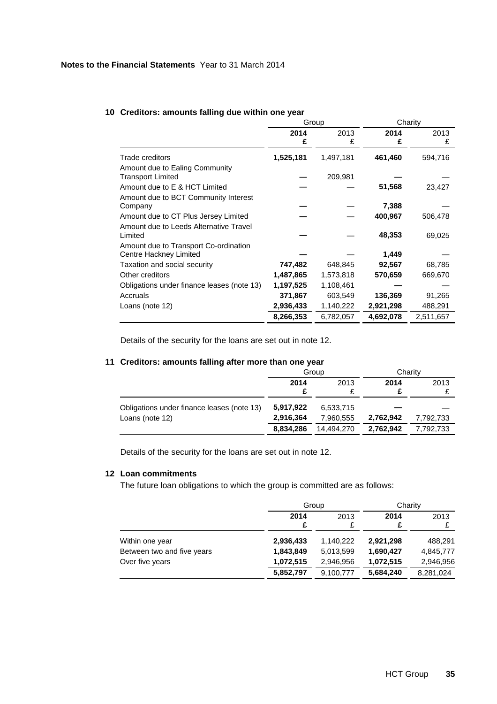|                                            |           | Group     |           | Charity   |
|--------------------------------------------|-----------|-----------|-----------|-----------|
|                                            | 2014<br>£ | 2013<br>£ | 2014<br>£ | 2013<br>£ |
| Trade creditors                            | 1,525,181 | 1,497,181 | 461,460   | 594,716   |
| Amount due to Ealing Community             |           |           |           |           |
| <b>Transport Limited</b>                   |           | 209,981   |           |           |
| Amount due to E & HCT Limited              |           |           | 51,568    | 23,427    |
| Amount due to BCT Community Interest       |           |           |           |           |
| Company                                    |           |           | 7,388     |           |
| Amount due to CT Plus Jersey Limited       |           |           | 400,967   | 506,478   |
| Amount due to Leeds Alternative Travel     |           |           |           |           |
| Limited                                    |           |           | 48,353    | 69,025    |
| Amount due to Transport Co-ordination      |           |           |           |           |
| Centre Hackney Limited                     |           |           | 1,449     |           |
| Taxation and social security               | 747,482   | 648,845   | 92,567    | 68,785    |
| Other creditors                            | 1,487,865 | 1,573,818 | 570,659   | 669,670   |
| Obligations under finance leases (note 13) | 1,197,525 | 1,108,461 |           |           |
| Accruals                                   | 371,867   | 603,549   | 136,369   | 91,265    |
| Loans (note 12)                            | 2,936,433 | 1,140,222 | 2,921,298 | 488,291   |
|                                            | 8,266,353 | 6,782,057 | 4,692,078 | 2,511,657 |

# **10 Creditors: amounts falling due within one year**

Details of the security for the loans are set out in note 12.

# **11 Creditors: amounts falling after more than one year**

|                                            | Group        |            | Charity   |           |
|--------------------------------------------|--------------|------------|-----------|-----------|
|                                            | 2014<br>2013 |            | 2014      | 2013      |
|                                            |              |            |           |           |
| Obligations under finance leases (note 13) | 5,917,922    | 6,533,715  |           |           |
| Loans (note 12)                            | 2,916,364    | 7.960.555  | 2,762,942 | 7,792,733 |
|                                            | 8,834,286    | 14.494.270 | 2,762,942 | 7,792,733 |

Details of the security for the loans are set out in note 12.

# **12 Loan commitments**

The future loan obligations to which the group is committed are as follows:

|                            |           | Group     |           | Charity   |
|----------------------------|-----------|-----------|-----------|-----------|
|                            | 2014<br>£ | 2013<br>£ | 2014<br>£ | 2013      |
| Within one year            | 2,936,433 | 1,140,222 | 2,921,298 | 488,291   |
| Between two and five years | 1,843,849 | 5,013,599 | 1,690,427 | 4,845,777 |
| Over five years            | 1,072,515 | 2,946,956 | 1,072,515 | 2,946,956 |
|                            | 5,852,797 | 9,100,777 | 5,684,240 | 8,281,024 |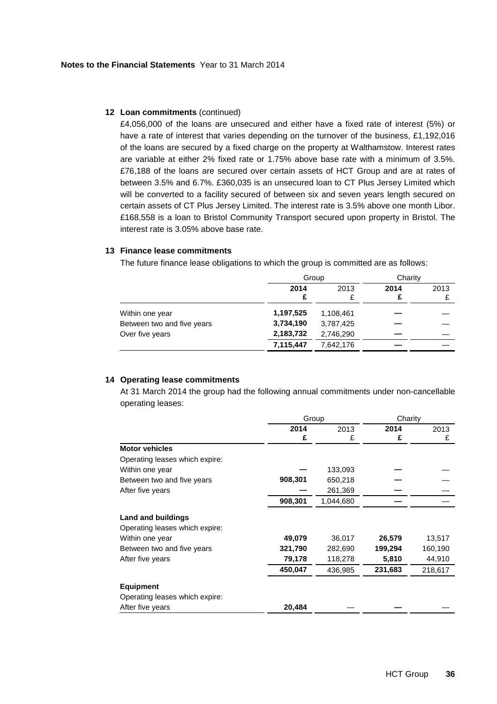### **12 Loan commitments** (continued)

£4,056,000 of the loans are unsecured and either have a fixed rate of interest (5%) or have a rate of interest that varies depending on the turnover of the business, £1,192,016 of the loans are secured by a fixed charge on the property at Walthamstow. Interest rates are variable at either 2% fixed rate or 1.75% above base rate with a minimum of 3.5%. £76,188 of the loans are secured over certain assets of HCT Group and are at rates of between 3.5% and 6.7%. £360,035 is an unsecured loan to CT Plus Jersey Limited which will be converted to a facility secured of between six and seven years length secured on certain assets of CT Plus Jersey Limited. The interest rate is 3.5% above one month Libor. £168,558 is a loan to Bristol Community Transport secured upon property in Bristol. The interest rate is 3.05% above base rate.

# **13 Finance lease commitments**

The future finance lease obligations to which the group is committed are as follows:

|                            | Group     |           | Charity |      |
|----------------------------|-----------|-----------|---------|------|
|                            | 2014      | 2013      | 2014    | 2013 |
| Within one year            | 1,197,525 | 1,108,461 |         |      |
| Between two and five years | 3,734,190 | 3,787,425 |         |      |
| Over five years            | 2,183,732 | 2,746,290 |         |      |
|                            | 7,115,447 | 7,642,176 |         |      |

### **14 Operating lease commitments**

At 31 March 2014 the group had the following annual commitments under non-cancellable operating leases:

|                                | Group   |           | Charity |         |
|--------------------------------|---------|-----------|---------|---------|
|                                | 2014    | 2013      | 2014    | 2013    |
|                                | £       | £         | £       | £       |
| <b>Motor vehicles</b>          |         |           |         |         |
| Operating leases which expire: |         |           |         |         |
| Within one year                |         | 133,093   |         |         |
| Between two and five years     | 908,301 | 650,218   |         |         |
| After five years               |         | 261,369   |         |         |
|                                | 908,301 | 1,044,680 |         |         |
| Land and buildings             |         |           |         |         |
| Operating leases which expire: |         |           |         |         |
| Within one year                | 49,079  | 36,017    | 26,579  | 13,517  |
| Between two and five years     | 321,790 | 282,690   | 199,294 | 160,190 |
| After five years               | 79,178  | 118,278   | 5,810   | 44,910  |
|                                | 450,047 | 436,985   | 231,683 | 218,617 |
| <b>Equipment</b>               |         |           |         |         |
| Operating leases which expire: |         |           |         |         |
| After five years               | 20,484  |           |         |         |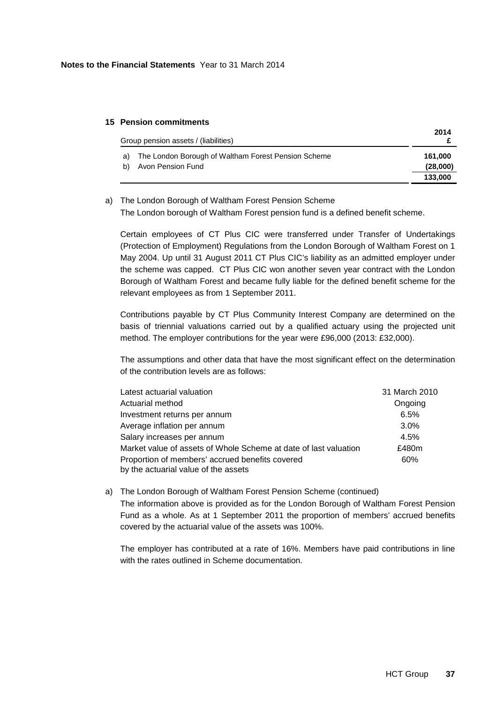# **15 Pension commitments**

|    | Group pension assets / (liabilities)                | 2014     |
|----|-----------------------------------------------------|----------|
| a) | The London Borough of Waltham Forest Pension Scheme | 161.000  |
| b) | Avon Pension Fund                                   | (28,000) |
|    |                                                     | 133,000  |

# a) The London Borough of Waltham Forest Pension Scheme The London borough of Waltham Forest pension fund is a defined benefit scheme.

Certain employees of CT Plus CIC were transferred under Transfer of Undertakings (Protection of Employment) Regulations from the London Borough of Waltham Forest on 1 May 2004. Up until 31 August 2011 CT Plus CIC's liability as an admitted employer under the scheme was capped. CT Plus CIC won another seven year contract with the London Borough of Waltham Forest and became fully liable for the defined benefit scheme for the relevant employees as from 1 September 2011.

Contributions payable by CT Plus Community Interest Company are determined on the basis of triennial valuations carried out by a qualified actuary using the projected unit method. The employer contributions for the year were £96,000 (2013: £32,000).

The assumptions and other data that have the most significant effect on the determination of the contribution levels are as follows:

| Latest actuarial valuation                                       | 31 March 2010 |
|------------------------------------------------------------------|---------------|
| Actuarial method                                                 | Ongoing       |
| Investment returns per annum                                     | 6.5%          |
| Average inflation per annum                                      | $3.0\%$       |
| Salary increases per annum                                       | 4.5%          |
| Market value of assets of Whole Scheme at date of last valuation | £480m         |
| Proportion of members' accrued benefits covered                  | 60%           |
| by the actuarial value of the assets                             |               |

## a) The London Borough of Waltham Forest Pension Scheme (continued)

The information above is provided as for the London Borough of Waltham Forest Pension Fund as a whole. As at 1 September 2011 the proportion of members' accrued benefits covered by the actuarial value of the assets was 100%.

The employer has contributed at a rate of 16%. Members have paid contributions in line with the rates outlined in Scheme documentation.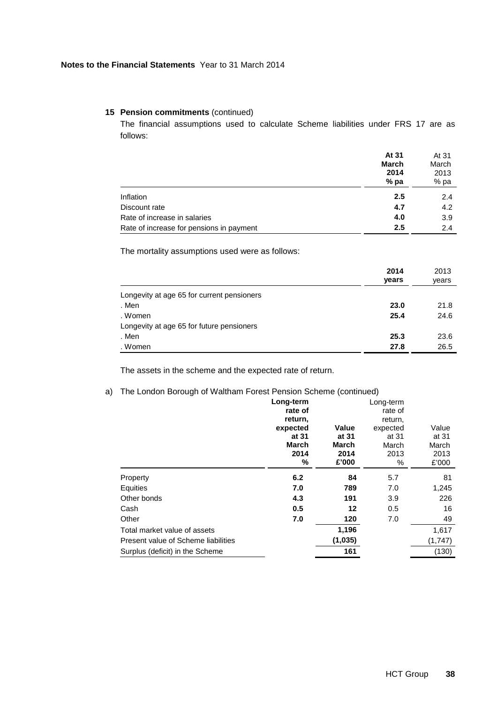The financial assumptions used to calculate Scheme liabilities under FRS 17 are as follows:

|                                          | At 31  | At 31 |
|------------------------------------------|--------|-------|
|                                          | March  | March |
|                                          | 2014   | 2013  |
|                                          | $%$ pa | % pa  |
| Inflation                                | 2.5    | 2.4   |
| Discount rate                            | 4.7    | 4.2   |
| Rate of increase in salaries             | 4.0    | 3.9   |
| Rate of increase for pensions in payment | 2.5    | 2.4   |

The mortality assumptions used were as follows:

|                                            | 2014  | 2013  |
|--------------------------------------------|-------|-------|
|                                            | years | years |
| Longevity at age 65 for current pensioners |       |       |
| . Men                                      | 23.0  | 21.8  |
| . Women                                    | 25.4  | 24.6  |
| Longevity at age 65 for future pensioners  |       |       |
| . Men                                      | 25.3  | 23.6  |
| . Women                                    | 27.8  | 26.5  |

The assets in the scheme and the expected rate of return.

# a) The London Borough of Waltham Forest Pension Scheme (continued)

|                                     | Long-term    |         | Long-term |         |
|-------------------------------------|--------------|---------|-----------|---------|
|                                     | rate of      |         | rate of   |         |
|                                     | return,      |         | return,   |         |
|                                     | expected     | Value   | expected  | Value   |
|                                     | at 31        | at 31   | at 31     | at 31   |
|                                     | <b>March</b> | March   | March     | March   |
|                                     | 2014         | 2014    | 2013      | 2013    |
|                                     | ℅            | £'000   | %         | £'000   |
| Property                            | 6.2          | 84      | 5.7       | 81      |
| Equities                            | 7.0          | 789     | 7.0       | 1,245   |
| Other bonds                         | 4.3          | 191     | 3.9       | 226     |
| Cash                                | 0.5          | 12      | 0.5       | 16      |
| Other                               | 7.0          | 120     | 7.0       | 49      |
| Total market value of assets        |              | 1,196   |           | 1,617   |
| Present value of Scheme liabilities |              | (1,035) |           | (1,747) |
| Surplus (deficit) in the Scheme     |              | 161     |           | (130)   |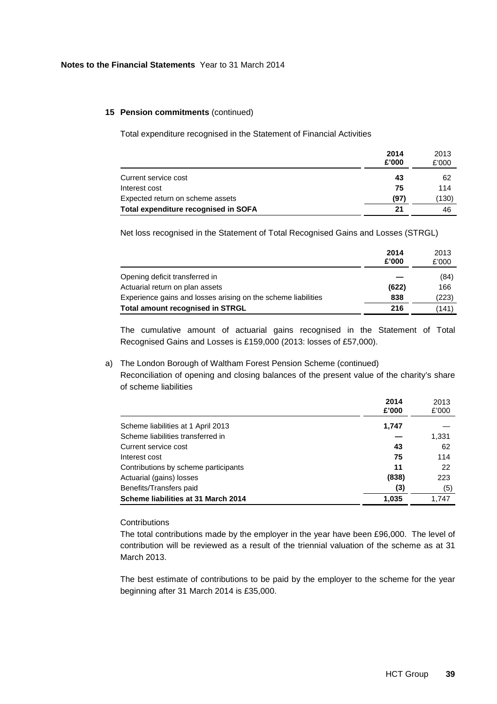Total expenditure recognised in the Statement of Financial Activities

|                                      | 2014<br>£'000 | 2013<br>£'000 |
|--------------------------------------|---------------|---------------|
| Current service cost                 | 43            | 62            |
| Interest cost                        | 75            | 114           |
| Expected return on scheme assets     | (97)          | (130)         |
| Total expenditure recognised in SOFA | 21            | 46            |

Net loss recognised in the Statement of Total Recognised Gains and Losses (STRGL)

|                                                               | 2014<br>£'000 | 2013<br>£'000 |
|---------------------------------------------------------------|---------------|---------------|
| Opening deficit transferred in                                |               | (84)          |
| Actuarial return on plan assets                               | (622)         | 166           |
| Experience gains and losses arising on the scheme liabilities | 838           | (223)         |
| <b>Total amount recognised in STRGL</b>                       | 216           | (141)         |

The cumulative amount of actuarial gains recognised in the Statement of Total Recognised Gains and Losses is £159,000 (2013: losses of £57,000).

# a) The London Borough of Waltham Forest Pension Scheme (continued)

Reconciliation of opening and closing balances of the present value of the charity's share of scheme liabilities

|                                      | 2014<br>£'000 | 2013<br>£'000 |
|--------------------------------------|---------------|---------------|
| Scheme liabilities at 1 April 2013   | 1,747         |               |
| Scheme liabilities transferred in    |               | 1,331         |
| Current service cost                 | 43            | 62            |
| Interest cost                        | 75            | 114           |
| Contributions by scheme participants | 11            | 22            |
| Actuarial (gains) losses             | (838)         | 223           |
| Benefits/Transfers paid              | (3)           | (5)           |
| Scheme liabilities at 31 March 2014  | 1.035         | 1.747         |

### **Contributions**

The total contributions made by the employer in the year have been £96,000. The level of contribution will be reviewed as a result of the triennial valuation of the scheme as at 31 March 2013.

The best estimate of contributions to be paid by the employer to the scheme for the year beginning after 31 March 2014 is £35,000.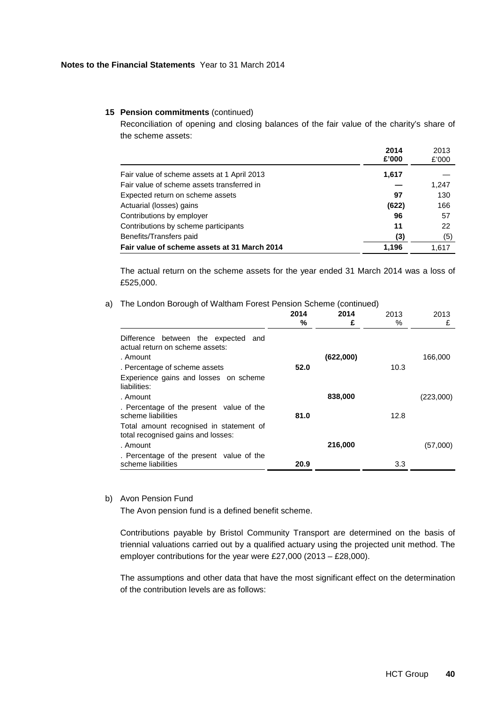Reconciliation of opening and closing balances of the fair value of the charity's share of the scheme assets:

|                                              | 2014<br>£'000 | 2013<br>£'000 |
|----------------------------------------------|---------------|---------------|
| Fair value of scheme assets at 1 April 2013  | 1,617         |               |
| Fair value of scheme assets transferred in   |               | 1,247         |
| Expected return on scheme assets             | 97            | 130           |
| Actuarial (losses) gains                     | (622)         | 166           |
| Contributions by employer                    | 96            | 57            |
| Contributions by scheme participants         | 11            | 22            |
| Benefits/Transfers paid                      | (3)           | (5)           |
| Fair value of scheme assets at 31 March 2014 | 1.196         | 1.617         |

The actual return on the scheme assets for the year ended 31 March 2014 was a loss of £525,000.

### a) The London Borough of Waltham Forest Pension Scheme (continued)

|                                                                                    | 2014<br>℅ | 2014<br>£ | 2013<br>% | 2013<br>£ |
|------------------------------------------------------------------------------------|-----------|-----------|-----------|-----------|
| Difference between the expected and<br>actual return on scheme assets:<br>. Amount |           | (622,000) |           | 166,000   |
| . Percentage of scheme assets                                                      | 52.0      |           | 10.3      |           |
| Experience gains and losses on scheme<br>liabilities:                              |           |           |           |           |
| . Amount                                                                           |           | 838,000   |           | (223,000) |
| . Percentage of the present value of the<br>scheme liabilities                     | 81.0      |           | 12.8      |           |
| Total amount recognised in statement of<br>total recognised gains and losses:      |           |           |           |           |
| . Amount                                                                           |           | 216,000   |           | (57,000)  |
| . Percentage of the present value of the<br>scheme liabilities                     | 20.9      |           | 3.3       |           |

# b) Avon Pension Fund

The Avon pension fund is a defined benefit scheme.

Contributions payable by Bristol Community Transport are determined on the basis of triennial valuations carried out by a qualified actuary using the projected unit method. The employer contributions for the year were £27,000 (2013 – £28,000).

The assumptions and other data that have the most significant effect on the determination of the contribution levels are as follows: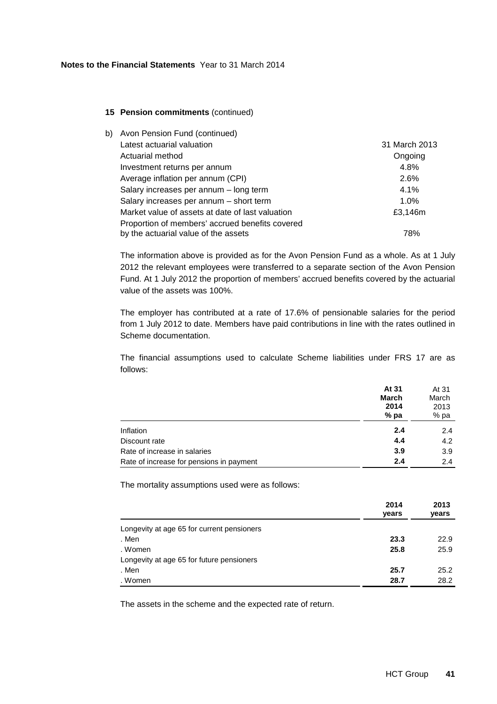| b). | Avon Pension Fund (continued)                    |               |
|-----|--------------------------------------------------|---------------|
|     | Latest actuarial valuation                       | 31 March 2013 |
|     | Actuarial method                                 | Ongoing       |
|     | Investment returns per annum                     | 4.8%          |
|     | Average inflation per annum (CPI)                | 2.6%          |
|     | Salary increases per annum - long term           | 4.1%          |
|     | Salary increases per annum - short term          | $1.0\%$       |
|     | Market value of assets at date of last valuation | £3,146m       |
|     | Proportion of members' accrued benefits covered  |               |
|     | by the actuarial value of the assets             | 78%           |

The information above is provided as for the Avon Pension Fund as a whole. As at 1 July 2012 the relevant employees were transferred to a separate section of the Avon Pension Fund. At 1 July 2012 the proportion of members' accrued benefits covered by the actuarial value of the assets was 100%.

The employer has contributed at a rate of 17.6% of pensionable salaries for the period from 1 July 2012 to date. Members have paid contributions in line with the rates outlined in Scheme documentation.

The financial assumptions used to calculate Scheme liabilities under FRS 17 are as follows:

|                                          | At 31        | At 31 |
|------------------------------------------|--------------|-------|
|                                          | <b>March</b> | March |
|                                          | 2014         | 2013  |
|                                          | $%$ pa       | % pa  |
| Inflation                                | 2.4          | 2.4   |
| Discount rate                            | 4.4          | 4.2   |
| Rate of increase in salaries             | 3.9          | 3.9   |
| Rate of increase for pensions in payment | 2.4          | 2.4   |

The mortality assumptions used were as follows:

|                                            | 2014  | 2013  |
|--------------------------------------------|-------|-------|
|                                            | years | years |
| Longevity at age 65 for current pensioners |       |       |
| . Men                                      | 23.3  | 22.9  |
| . Women                                    | 25.8  | 25.9  |
| Longevity at age 65 for future pensioners  |       |       |
| . Men                                      | 25.7  | 25.2  |
| . Women                                    | 28.7  | 28.2  |

The assets in the scheme and the expected rate of return.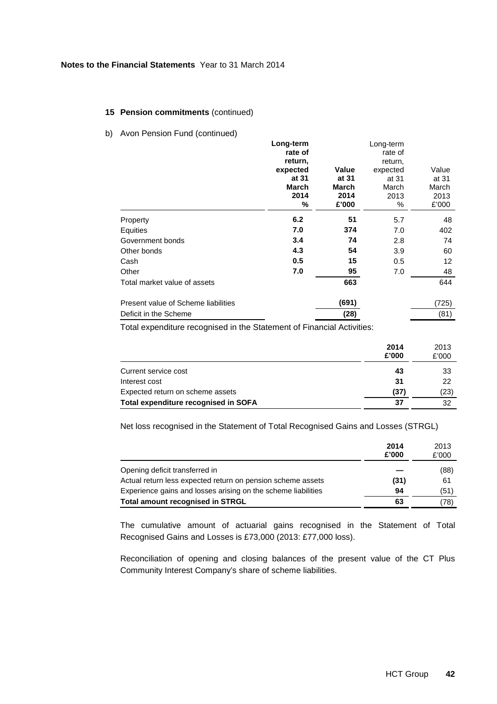b) Avon Pension Fund (continued)

|                                     | Long-term    |       | Long-term |                   |
|-------------------------------------|--------------|-------|-----------|-------------------|
|                                     | rate of      |       | rate of   |                   |
|                                     | return,      |       | return,   |                   |
|                                     | expected     | Value | expected  | Value             |
|                                     | at 31        | at 31 | at 31     | at 31             |
|                                     | <b>March</b> | March | March     | March             |
|                                     | 2014         | 2014  | 2013      | 2013              |
|                                     | ℅            | £'000 | %         | £'000             |
| Property                            | 6.2          | 51    | 5.7       | 48                |
| Equities                            | 7.0          | 374   | 7.0       | 402               |
| Government bonds                    | 3.4          | 74    | 2.8       | 74                |
| Other bonds                         | 4.3          | 54    | 3.9       | 60                |
| Cash                                | 0.5          | 15    | 0.5       | $12 \overline{ }$ |
| Other                               | 7.0          | 95    | 7.0       | 48                |
| Total market value of assets        |              | 663   |           | 644               |
| Present value of Scheme liabilities |              | (691) |           | (725)             |
| Deficit in the Scheme               |              | (28)  |           | (81)              |

Total expenditure recognised in the Statement of Financial Activities:

|                                      | 2014<br>£'000 | 2013<br>£'000 |
|--------------------------------------|---------------|---------------|
| Current service cost                 | 43            | 33            |
| Interest cost                        | 31            | 22            |
| Expected return on scheme assets     | (37)          | (23)          |
| Total expenditure recognised in SOFA | 37            | 32            |

Net loss recognised in the Statement of Total Recognised Gains and Losses (STRGL)

|                                                               | 2014<br>£'000 | 2013<br>£'000 |
|---------------------------------------------------------------|---------------|---------------|
| Opening deficit transferred in                                |               | (88)          |
| Actual return less expected return on pension scheme assets   | (31)          | 61            |
| Experience gains and losses arising on the scheme liabilities | 94            | (51)          |
| Total amount recognised in STRGL                              | 63            | (78)          |

The cumulative amount of actuarial gains recognised in the Statement of Total Recognised Gains and Losses is £73,000 (2013: £77,000 loss).

Reconciliation of opening and closing balances of the present value of the CT Plus Community Interest Company's share of scheme liabilities.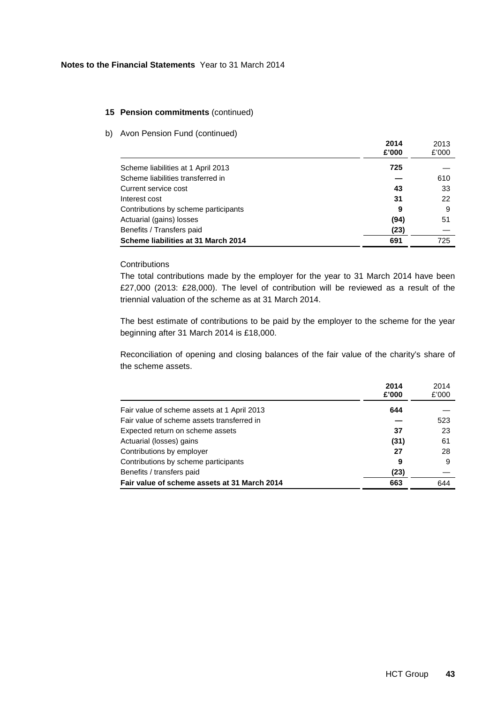b) Avon Pension Fund (continued)

|                                      | 2014<br>£'000 | 2013<br>£'000 |
|--------------------------------------|---------------|---------------|
| Scheme liabilities at 1 April 2013   | 725           |               |
| Scheme liabilities transferred in    |               | 610           |
| Current service cost                 | 43            | 33            |
| Interest cost                        | 31            | 22            |
| Contributions by scheme participants | 9             | 9             |
| Actuarial (gains) losses             | (94)          | 51            |
| Benefits / Transfers paid            | (23)          |               |
| Scheme liabilities at 31 March 2014  | 691           | 725           |

# **Contributions**

The total contributions made by the employer for the year to 31 March 2014 have been £27,000 (2013: £28,000). The level of contribution will be reviewed as a result of the triennial valuation of the scheme as at 31 March 2014.

The best estimate of contributions to be paid by the employer to the scheme for the year beginning after 31 March 2014 is £18,000.

Reconciliation of opening and closing balances of the fair value of the charity's share of the scheme assets.

|                                              | 2014<br>£'000 | 2014<br>£'000 |
|----------------------------------------------|---------------|---------------|
| Fair value of scheme assets at 1 April 2013  | 644           |               |
| Fair value of scheme assets transferred in   |               | 523           |
| Expected return on scheme assets             | 37            | 23            |
| Actuarial (losses) gains                     | (31)          | 61            |
| Contributions by employer                    | 27            | 28            |
| Contributions by scheme participants         | 9             | 9             |
| Benefits / transfers paid                    | (23)          |               |
| Fair value of scheme assets at 31 March 2014 | 663           | 644           |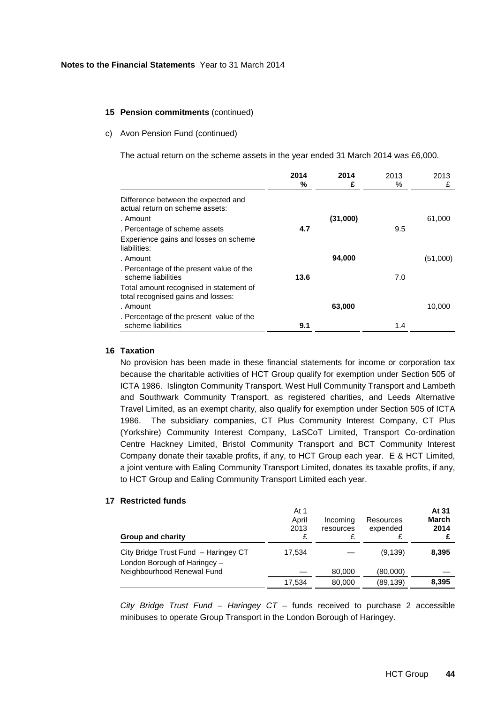#### c) Avon Pension Fund (continued)

The actual return on the scheme assets in the year ended 31 March 2014 was £6,000.

|                                                                               | 2014<br>℅ | 2014<br>£ | 2013<br>% | 2013<br>£ |
|-------------------------------------------------------------------------------|-----------|-----------|-----------|-----------|
| Difference between the expected and<br>actual return on scheme assets:        |           |           |           |           |
| . Amount                                                                      |           | (31,000)  |           | 61,000    |
| . Percentage of scheme assets                                                 | 4.7       |           | 9.5       |           |
| Experience gains and losses on scheme<br>liabilities:                         |           |           |           |           |
| . Amount                                                                      |           | 94,000    |           | (51,000)  |
| . Percentage of the present value of the<br>scheme liabilities                | 13.6      |           | 7.0       |           |
| Total amount recognised in statement of<br>total recognised gains and losses: |           |           |           |           |
| . Amount                                                                      |           | 63,000    |           | 10,000    |
| . Percentage of the present value of the<br>scheme liabilities                | 9.1       |           | 1.4       |           |

# **16 Taxation**

No provision has been made in these financial statements for income or corporation tax because the charitable activities of HCT Group qualify for exemption under Section 505 of ICTA 1986. Islington Community Transport, West Hull Community Transport and Lambeth and Southwark Community Transport, as registered charities, and Leeds Alternative Travel Limited, as an exempt charity, also qualify for exemption under Section 505 of ICTA 1986. The subsidiary companies, CT Plus Community Interest Company, CT Plus (Yorkshire) Community Interest Company, LaSCoT Limited, Transport Co-ordination Centre Hackney Limited, Bristol Community Transport and BCT Community Interest Company donate their taxable profits, if any, to HCT Group each year. E & HCT Limited, a joint venture with Ealing Community Transport Limited, donates its taxable profits, if any, to HCT Group and Ealing Community Transport Limited each year.

# **17 Restricted funds**

| <b>Group and charity</b>                                             | At 1<br>April<br>2013 | Incoming<br>resources | Resources<br>expended | At 31<br>March<br>2014 |
|----------------------------------------------------------------------|-----------------------|-----------------------|-----------------------|------------------------|
| City Bridge Trust Fund - Haringey CT<br>London Borough of Haringey - | 17.534                |                       | (9, 139)              | 8,395                  |
| Neighbourhood Renewal Fund                                           |                       | 80,000                | (80,000)              |                        |
|                                                                      | 17.534                | 80,000                | (89, 139)             | 8,395                  |

City Bridge Trust Fund – Haringey CT – funds received to purchase 2 accessible minibuses to operate Group Transport in the London Borough of Haringey.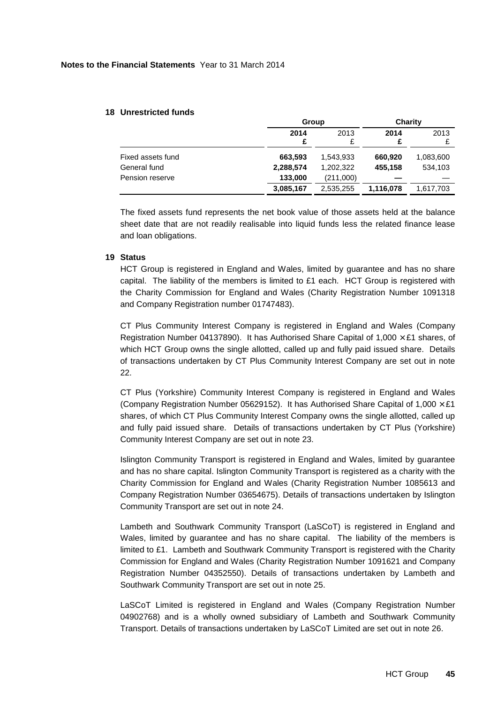# **18 Unrestricted funds**

|                   | Group     |           | Charity   |           |
|-------------------|-----------|-----------|-----------|-----------|
|                   | 2014<br>£ | 2013      | 2014      | 2013      |
| Fixed assets fund | 663,593   | 1,543,933 | 660,920   | 1,083,600 |
| General fund      | 2,288,574 | 1,202,322 | 455,158   | 534.103   |
| Pension reserve   | 133,000   | (211,000) |           |           |
|                   | 3,085,167 | 2,535,255 | 1,116,078 | 1,617,703 |

The fixed assets fund represents the net book value of those assets held at the balance sheet date that are not readily realisable into liquid funds less the related finance lease and loan obligations.

# **19 Status**

HCT Group is registered in England and Wales, limited by guarantee and has no share capital. The liability of the members is limited to  $£1$  each. HCT Group is registered with the Charity Commission for England and Wales (Charity Registration Number 1091318 and Company Registration number 01747483).

CT Plus Community Interest Company is registered in England and Wales (Company Registration Number 04137890). It has Authorised Share Capital of 1,000  $\times$  £1 shares, of which HCT Group owns the single allotted, called up and fully paid issued share. Details of transactions undertaken by CT Plus Community Interest Company are set out in note 22.

CT Plus (Yorkshire) Community Interest Company is registered in England and Wales (Company Registration Number 05629152). It has Authorised Share Capital of  $1,000 \times \text{\pounds}1$ shares, of which CT Plus Community Interest Company owns the single allotted, called up and fully paid issued share. Details of transactions undertaken by CT Plus (Yorkshire) Community Interest Company are set out in note 23.

Islington Community Transport is registered in England and Wales, limited by guarantee and has no share capital. Islington Community Transport is registered as a charity with the Charity Commission for England and Wales (Charity Registration Number 1085613 and Company Registration Number 03654675). Details of transactions undertaken by Islington Community Transport are set out in note 24.

Lambeth and Southwark Community Transport (LaSCoT) is registered in England and Wales, limited by guarantee and has no share capital. The liability of the members is limited to £1. Lambeth and Southwark Community Transport is registered with the Charity Commission for England and Wales (Charity Registration Number 1091621 and Company Registration Number 04352550). Details of transactions undertaken by Lambeth and Southwark Community Transport are set out in note 25.

LaSCoT Limited is registered in England and Wales (Company Registration Number 04902768) and is a wholly owned subsidiary of Lambeth and Southwark Community Transport. Details of transactions undertaken by LaSCoT Limited are set out in note 26.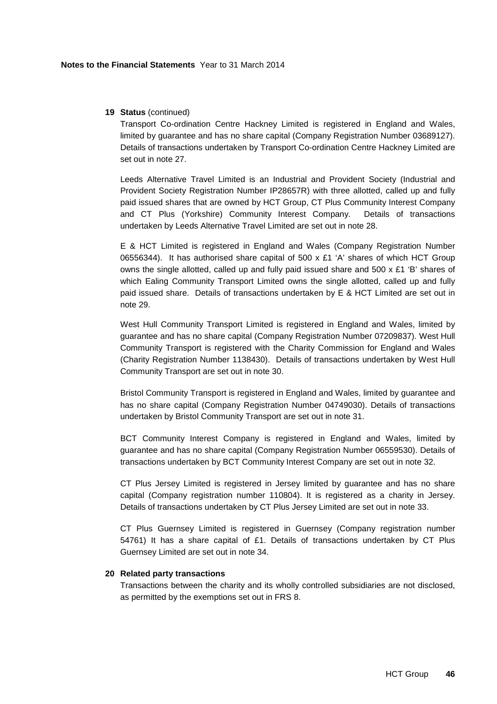# **19 Status** (continued)

Transport Co-ordination Centre Hackney Limited is registered in England and Wales, limited by guarantee and has no share capital (Company Registration Number 03689127). Details of transactions undertaken by Transport Co-ordination Centre Hackney Limited are set out in note 27.

Leeds Alternative Travel Limited is an Industrial and Provident Society (Industrial and Provident Society Registration Number IP28657R) with three allotted, called up and fully paid issued shares that are owned by HCT Group, CT Plus Community Interest Company and CT Plus (Yorkshire) Community Interest Company. Details of transactions undertaken by Leeds Alternative Travel Limited are set out in note 28.

E & HCT Limited is registered in England and Wales (Company Registration Number 06556344). It has authorised share capital of 500  $\times$  £1 'A' shares of which HCT Group owns the single allotted, called up and fully paid issued share and  $500 \times £1$  'B' shares of which Ealing Community Transport Limited owns the single allotted, called up and fully paid issued share. Details of transactions undertaken by E & HCT Limited are set out in note 29.

West Hull Community Transport Limited is registered in England and Wales, limited by guarantee and has no share capital (Company Registration Number 07209837). West Hull Community Transport is registered with the Charity Commission for England and Wales (Charity Registration Number 1138430). Details of transactions undertaken by West Hull Community Transport are set out in note 30.

Bristol Community Transport is registered in England and Wales, limited by guarantee and has no share capital (Company Registration Number 04749030). Details of transactions undertaken by Bristol Community Transport are set out in note 31.

BCT Community Interest Company is registered in England and Wales, limited by guarantee and has no share capital (Company Registration Number 06559530). Details of transactions undertaken by BCT Community Interest Company are set out in note 32.

CT Plus Jersey Limited is registered in Jersey limited by guarantee and has no share capital (Company registration number 110804). It is registered as a charity in Jersey. Details of transactions undertaken by CT Plus Jersey Limited are set out in note 33.

CT Plus Guernsey Limited is registered in Guernsey (Company registration number 54761) It has a share capital of £1. Details of transactions undertaken by CT Plus Guernsey Limited are set out in note 34.

#### **20 Related party transactions**

Transactions between the charity and its wholly controlled subsidiaries are not disclosed, as permitted by the exemptions set out in FRS 8.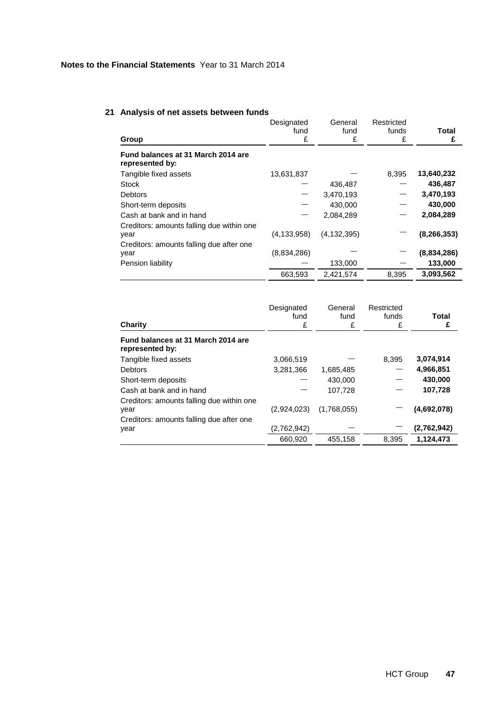### **21 Analysis of net assets between funds**

|                                                                                               | Designated    | General       | Restricted |               |
|-----------------------------------------------------------------------------------------------|---------------|---------------|------------|---------------|
|                                                                                               | fund          | fund          | funds      | <b>Total</b>  |
| Group                                                                                         | £             | £             | £          | £             |
| Fund balances at 31 March 2014 are<br>represented by:                                         |               |               |            |               |
| Tangible fixed assets                                                                         | 13,631,837    |               | 8.395      | 13,640,232    |
| <b>Stock</b>                                                                                  |               | 436,487       |            | 436,487       |
| <b>Debtors</b>                                                                                |               | 3,470,193     |            | 3,470,193     |
| Short-term deposits                                                                           |               | 430,000       |            | 430,000       |
| Cash at bank and in hand                                                                      |               | 2,084,289     |            | 2,084,289     |
| Creditors: amounts falling due within one<br>year<br>Creditors: amounts falling due after one | (4, 133, 958) | (4, 132, 395) |            | (8, 266, 353) |
| year                                                                                          | (8,834,286)   |               |            | (8,834,286)   |
| Pension liability                                                                             |               | 133,000       |            | 133,000       |
|                                                                                               | 663,593       | 2.421.574     | 8.395      | 3.093.562     |

| Charity                                               | Designated<br>fund<br>£ | General<br>fund<br>£ | Restricted<br>funds<br>£ | Total<br>£  |
|-------------------------------------------------------|-------------------------|----------------------|--------------------------|-------------|
| Fund balances at 31 March 2014 are<br>represented by: |                         |                      |                          |             |
| Tangible fixed assets                                 | 3,066,519               |                      | 8,395                    | 3,074,914   |
| <b>Debtors</b>                                        | 3,281,366               | 1,685,485            |                          | 4,966,851   |
| Short-term deposits                                   |                         | 430,000              |                          | 430,000     |
| Cash at bank and in hand                              |                         | 107,728              |                          | 107,728     |
| Creditors: amounts falling due within one<br>year     | (2,924,023)             | (1,768,055)          |                          | (4,692,078) |
| Creditors: amounts falling due after one<br>year      | (2,762,942)             |                      |                          | (2,762,942) |
|                                                       | 660,920                 | 455.158              | 8.395                    | 1,124,473   |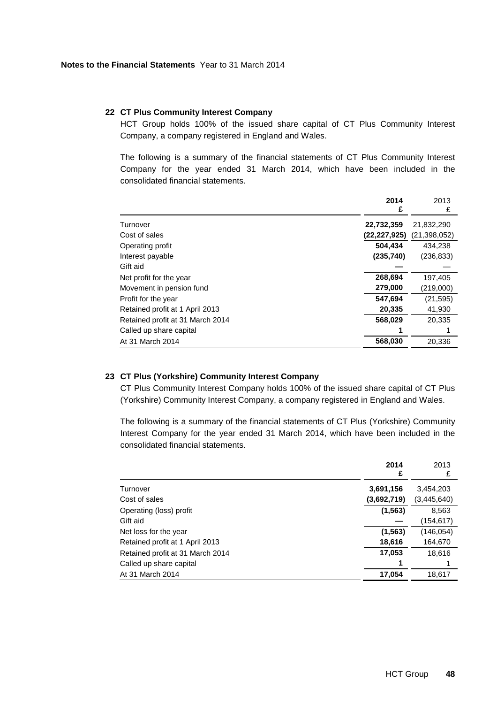## **22 CT Plus Community Interest Company**

HCT Group holds 100% of the issued share capital of CT Plus Community Interest Company, a company registered in England and Wales.

The following is a summary of the financial statements of CT Plus Community Interest Company for the year ended 31 March 2014, which have been included in the consolidated financial statements.

|                                  | 2014         | 2013           |
|----------------------------------|--------------|----------------|
|                                  | £            | £              |
| Turnover                         | 22,732,359   | 21,832,290     |
| Cost of sales                    | (22,227,925) | (21, 398, 052) |
| Operating profit                 | 504.434      | 434.238        |
| Interest payable                 | (235, 740)   | (236, 833)     |
| Gift aid                         |              |                |
| Net profit for the year          | 268,694      | 197,405        |
| Movement in pension fund         | 279,000      | (219,000)      |
| Profit for the year              | 547,694      | (21, 595)      |
| Retained profit at 1 April 2013  | 20,335       | 41,930         |
| Retained profit at 31 March 2014 | 568,029      | 20.335         |
| Called up share capital          |              |                |
| At 31 March 2014                 | 568,030      | 20.336         |

# **23 CT Plus (Yorkshire) Community Interest Company**

CT Plus Community Interest Company holds 100% of the issued share capital of CT Plus (Yorkshire) Community Interest Company, a company registered in England and Wales.

The following is a summary of the financial statements of CT Plus (Yorkshire) Community Interest Company for the year ended 31 March 2014, which have been included in the consolidated financial statements.

|                                  | 2014<br>£   | 2013<br>£   |
|----------------------------------|-------------|-------------|
| Turnover                         | 3,691,156   | 3,454,203   |
| Cost of sales                    | (3,692,719) | (3,445,640) |
| Operating (loss) profit          | (1, 563)    | 8,563       |
| Gift aid                         |             | (154,617)   |
| Net loss for the year            | (1, 563)    | (146, 054)  |
| Retained profit at 1 April 2013  | 18,616      | 164,670     |
| Retained profit at 31 March 2014 | 17,053      | 18,616      |
| Called up share capital          |             |             |
| At 31 March 2014                 | 17,054      | 18,617      |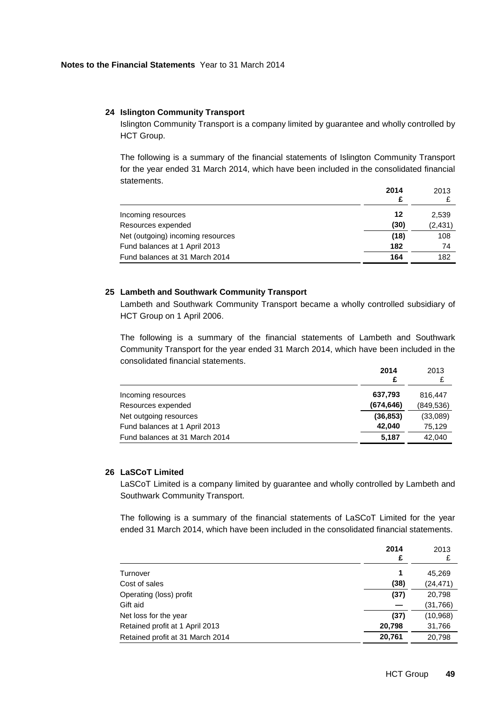## **24 Islington Community Transport**

Islington Community Transport is a company limited by guarantee and wholly controlled by HCT Group.

The following is a summary of the financial statements of Islington Community Transport for the year ended 31 March 2014, which have been included in the consolidated financial statements. **2014**

|                                   | 2014<br>£ | 2013     |
|-----------------------------------|-----------|----------|
| Incoming resources                | 12        | 2,539    |
| Resources expended                | (30)      | (2, 431) |
| Net (outgoing) incoming resources | (18)      | 108      |
| Fund balances at 1 April 2013     | 182       | 74       |
| Fund balances at 31 March 2014    | 164       | 182      |

# **25 Lambeth and Southwark Community Transport**

Lambeth and Southwark Community Transport became a wholly controlled subsidiary of HCT Group on 1 April 2006.

The following is a summary of the financial statements of Lambeth and Southwark Community Transport for the year ended 31 March 2014, which have been included in the consolidated financial statements.

|                                | 2014       | 2013       |
|--------------------------------|------------|------------|
| Incoming resources             | 637,793    | 816.447    |
| Resources expended             | (674, 646) | (849, 536) |
| Net outgoing resources         | (36, 853)  | (33,089)   |
| Fund balances at 1 April 2013  | 42.040     | 75.129     |
| Fund balances at 31 March 2014 | 5.187      | 42.040     |

# **26 LaSCoT Limited**

LaSCoT Limited is a company limited by guarantee and wholly controlled by Lambeth and Southwark Community Transport.

The following is a summary of the financial statements of LaSCoT Limited for the year ended 31 March 2014, which have been included in the consolidated financial statements.

|                                  | 2014<br>£ | 2013<br>£ |
|----------------------------------|-----------|-----------|
| Turnover                         | 1         | 45,269    |
| Cost of sales                    | (38)      | (24, 471) |
| Operating (loss) profit          | (37)      | 20,798    |
| Gift aid                         |           | (31,766)  |
| Net loss for the year            | (37)      | (10, 968) |
| Retained profit at 1 April 2013  | 20,798    | 31,766    |
| Retained profit at 31 March 2014 | 20,761    | 20,798    |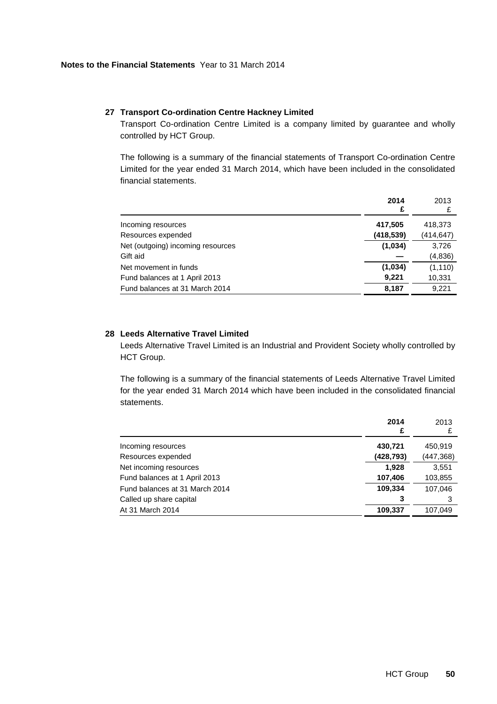# **27 Transport Co-ordination Centre Hackney Limited**

Transport Co-ordination Centre Limited is a company limited by guarantee and wholly controlled by HCT Group.

The following is a summary of the financial statements of Transport Co-ordination Centre Limited for the year ended 31 March 2014, which have been included in the consolidated financial statements.

|                                   | 2014       | 2013       |
|-----------------------------------|------------|------------|
|                                   | £          | £          |
| Incoming resources                | 417,505    | 418,373    |
| Resources expended                | (418, 539) | (414, 647) |
| Net (outgoing) incoming resources | (1,034)    | 3,726      |
| Gift aid                          |            | (4, 836)   |
| Net movement in funds             | (1,034)    | (1, 110)   |
| Fund balances at 1 April 2013     | 9,221      | 10,331     |
| Fund balances at 31 March 2014    | 8,187      | 9,221      |

# **28 Leeds Alternative Travel Limited**

Leeds Alternative Travel Limited is an Industrial and Provident Society wholly controlled by HCT Group.

The following is a summary of the financial statements of Leeds Alternative Travel Limited for the year ended 31 March 2014 which have been included in the consolidated financial statements.

|                                | 2014<br>£  | 2013       |
|--------------------------------|------------|------------|
| Incoming resources             | 430,721    | 450,919    |
| Resources expended             | (428, 793) | (447, 368) |
| Net incoming resources         | 1,928      | 3,551      |
| Fund balances at 1 April 2013  | 107,406    | 103,855    |
| Fund balances at 31 March 2014 | 109,334    | 107.046    |
| Called up share capital        | 3          |            |
| At 31 March 2014               | 109,337    | 107.049    |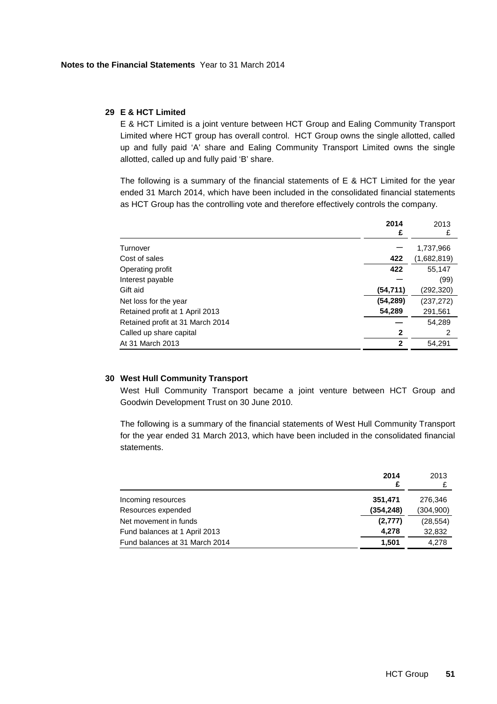### **29 E & HCT Limited**

E & HCT Limited is a joint venture between HCT Group and Ealing Community Transport Limited where HCT group has overall control. HCT Group owns the single allotted, called up and fully paid 'A' share and Ealing Community Transport Limited owns the single allotted, called up and fully paid 'B' share.

The following is a summary of the financial statements of  $E$  & HCT Limited for the year ended 31 March 2014, which have been included in the consolidated financial statements as HCT Group has the controlling vote and therefore effectively controls the company.

|                                  | 2014<br>£    | 2013<br>£   |
|----------------------------------|--------------|-------------|
| Turnover                         |              | 1,737,966   |
| Cost of sales                    | 422          | (1,682,819) |
| Operating profit                 | 422          | 55,147      |
| Interest payable                 |              | (99)        |
| Gift aid                         | (54, 711)    | (292, 320)  |
| Net loss for the year            | (54, 289)    | (237, 272)  |
| Retained profit at 1 April 2013  | 54,289       | 291,561     |
| Retained profit at 31 March 2014 |              | 54,289      |
| Called up share capital          | 2            | 2           |
| At 31 March 2013                 | $\mathbf{2}$ | 54.291      |

# **30 West Hull Community Transport**

West Hull Community Transport became a joint venture between HCT Group and Goodwin Development Trust on 30 June 2010.

The following is a summary of the financial statements of West Hull Community Transport for the year ended 31 March 2013, which have been included in the consolidated financial statements.

|                                | 2014       | 2013      |
|--------------------------------|------------|-----------|
|                                |            |           |
| Incoming resources             | 351.471    | 276.346   |
| Resources expended             | (354, 248) | (304,900) |
| Net movement in funds          | (2,777)    | (28, 554) |
| Fund balances at 1 April 2013  | 4.278      | 32,832    |
| Fund balances at 31 March 2014 | 1.501      | 4.278     |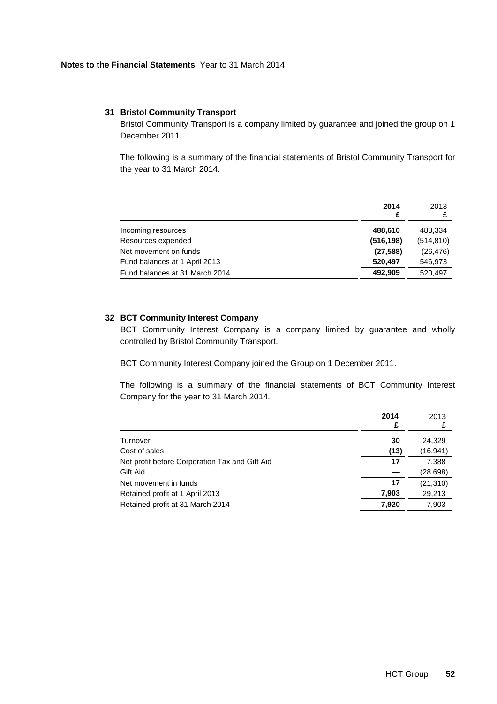### **31 Bristol Community Transport**

Bristol Community Transport is a company limited by guarantee and joined the group on 1 December 2011.

The following is a summary of the financial statements of Bristol Community Transport for the year to 31 March 2014.

|                                | 2014<br>£  | 2013       |
|--------------------------------|------------|------------|
| Incoming resources             | 488,610    | 488.334    |
| Resources expended             | (516, 198) | (514, 810) |
| Net movement on funds          | (27, 588)  | (26, 476)  |
| Fund balances at 1 April 2013  | 520.497    | 546,973    |
| Fund balances at 31 March 2014 | 492.909    | 520.497    |

# **32 BCT Community Interest Company**

BCT Community Interest Company is a company limited by guarantee and wholly controlled by Bristol Community Transport.

BCT Community Interest Company joined the Group on 1 December 2011.

The following is a summary of the financial statements of BCT Community Interest Company for the year to 31 March 2014.

|                                                | 2014<br>£ | 2013<br>£ |
|------------------------------------------------|-----------|-----------|
| Turnover                                       | 30        | 24,329    |
| Cost of sales                                  | (13)      | (16,941)  |
| Net profit before Corporation Tax and Gift Aid | 17        | 7,388     |
| Gift Aid                                       |           | (28,698)  |
| Net movement in funds                          | 17        | (21, 310) |
| Retained profit at 1 April 2013                | 7,903     | 29,213    |
| Retained profit at 31 March 2014               | 7,920     | 7.903     |